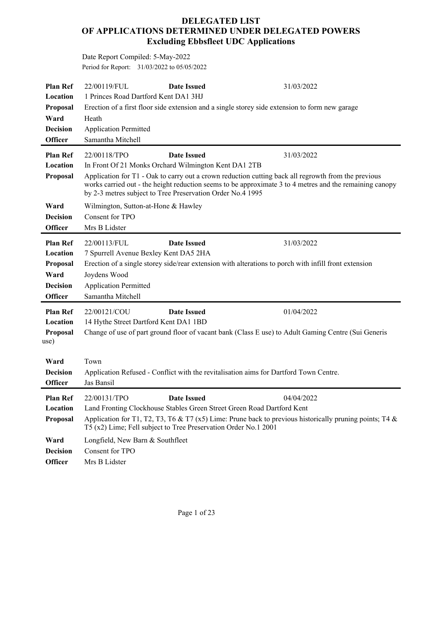## **DELEGATED LIST OF APPLICATIONS DETERMINED UNDER DELEGATED POWERS Excluding Ebbsfleet UDC Applications**

Date Report Compiled: 5-May-2022 Period for Report: 31/03/2022 to 05/05/2022

| <b>Plan Ref</b><br>Location<br>Proposal<br>Ward<br><b>Decision</b><br><b>Officer</b> | 22/00119/FUL<br><b>Date Issued</b><br>1 Princes Road Dartford Kent DA1 3HJ<br>Erection of a first floor side extension and a single storey side extension to form new garage<br>Heath<br><b>Application Permitted</b><br>Samantha Mitchell                                                                                                                                 | 31/03/2022 |
|--------------------------------------------------------------------------------------|----------------------------------------------------------------------------------------------------------------------------------------------------------------------------------------------------------------------------------------------------------------------------------------------------------------------------------------------------------------------------|------------|
| <b>Plan Ref</b><br>Location<br>Proposal                                              | 22/00118/TPO<br><b>Date Issued</b><br>In Front Of 21 Monks Orchard Wilmington Kent DA1 2TB<br>Application for T1 - Oak to carry out a crown reduction cutting back all regrowth from the previous<br>works carried out - the height reduction seems to be approximate 3 to 4 metres and the remaining canopy<br>by 2-3 metres subject to Tree Preservation Order No.4 1995 | 31/03/2022 |
| Ward<br><b>Decision</b><br><b>Officer</b>                                            | Wilmington, Sutton-at-Hone & Hawley<br>Consent for TPO<br>Mrs B Lidster                                                                                                                                                                                                                                                                                                    |            |
| <b>Plan Ref</b><br>Location<br>Proposal<br>Ward<br><b>Decision</b><br><b>Officer</b> | <b>Date Issued</b><br>22/00113/FUL<br>7 Spurrell Avenue Bexley Kent DA5 2HA<br>Erection of a single storey side/rear extension with alterations to porch with infill front extension<br>Joydens Wood<br><b>Application Permitted</b><br>Samantha Mitchell                                                                                                                  | 31/03/2022 |
| <b>Plan Ref</b><br>Location<br>Proposal<br>use)                                      | 22/00121/COU<br><b>Date Issued</b><br>14 Hythe Street Dartford Kent DA1 1BD<br>Change of use of part ground floor of vacant bank (Class E use) to Adult Gaming Centre (Sui Generis                                                                                                                                                                                         | 01/04/2022 |
| Ward<br><b>Decision</b><br><b>Officer</b>                                            | Town<br>Application Refused - Conflict with the revitalisation aims for Dartford Town Centre.<br>Jas Bansil                                                                                                                                                                                                                                                                |            |
| <b>Plan Ref</b><br>Location<br>Proposal                                              | 22/00131/TPO<br><b>Date Issued</b><br>Land Fronting Clockhouse Stables Green Street Green Road Dartford Kent<br>Application for T1, T2, T3, T6 & T7 (x5) Lime: Prune back to previous historically pruning points; T4 &<br>T5 (x2) Lime; Fell subject to Tree Preservation Order No.1 2001                                                                                 | 04/04/2022 |
| Ward<br><b>Decision</b><br><b>Officer</b>                                            | Longfield, New Barn & Southfleet<br>Consent for TPO<br>Mrs B Lidster                                                                                                                                                                                                                                                                                                       |            |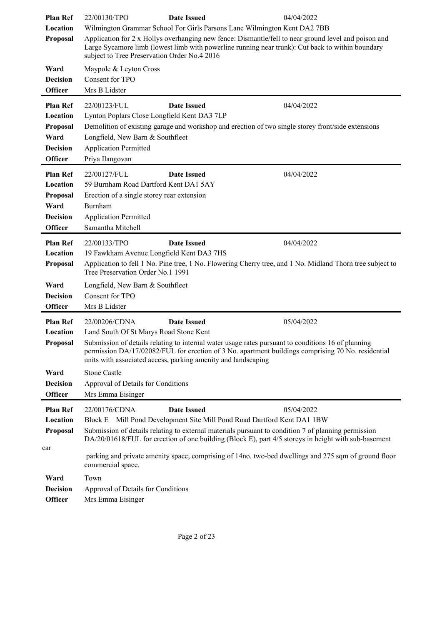| <b>Plan Ref</b><br>Location<br>Proposal<br>Ward<br><b>Decision</b><br><b>Officer</b><br><b>Plan Ref</b> | 22/00130/TPO<br>subject to Tree Preservation Order No.4 2016<br>Maypole & Leyton Cross<br>Consent for TPO<br>Mrs B Lidster<br>22/00123/FUL                          | <b>Date Issued</b><br>Wilmington Grammar School For Girls Parsons Lane Wilmington Kent DA2 7BB<br>Application for 2 x Hollys overhanging new fence: Dismantle/fell to near ground level and poison and<br>Large Sycamore limb (lowest limb with powerline running near trunk): Cut back to within boundary<br><b>Date Issued</b> | 04/04/2022<br>04/04/2022                                                                                                |
|---------------------------------------------------------------------------------------------------------|---------------------------------------------------------------------------------------------------------------------------------------------------------------------|----------------------------------------------------------------------------------------------------------------------------------------------------------------------------------------------------------------------------------------------------------------------------------------------------------------------------------|-------------------------------------------------------------------------------------------------------------------------|
| Location<br>Proposal<br>Ward<br><b>Decision</b><br><b>Officer</b>                                       | Lynton Poplars Close Longfield Kent DA3 7LP<br>Longfield, New Barn & Southfleet<br><b>Application Permitted</b><br>Priya Ilangovan                                  | Demolition of existing garage and workshop and erection of two single storey front/side extensions                                                                                                                                                                                                                               |                                                                                                                         |
| <b>Plan Ref</b><br>Location<br>Proposal<br>Ward<br><b>Decision</b><br><b>Officer</b>                    | 22/00127/FUL<br>59 Burnham Road Dartford Kent DA1 5AY<br>Erection of a single storey rear extension<br>Burnham<br><b>Application Permitted</b><br>Samantha Mitchell | <b>Date Issued</b>                                                                                                                                                                                                                                                                                                               | 04/04/2022                                                                                                              |
| <b>Plan Ref</b><br>Location<br>Proposal<br>Ward                                                         | 22/00133/TPO<br>19 Fawkham Avenue Longfield Kent DA3 7HS<br>Tree Preservation Order No.1 1991<br>Longfield, New Barn & Southfleet                                   | <b>Date Issued</b>                                                                                                                                                                                                                                                                                                               | 04/04/2022<br>Application to fell 1 No. Pine tree, 1 No. Flowering Cherry tree, and 1 No. Midland Thorn tree subject to |
| <b>Decision</b><br><b>Officer</b>                                                                       | Consent for TPO<br>Mrs B Lidster                                                                                                                                    |                                                                                                                                                                                                                                                                                                                                  |                                                                                                                         |
| <b>Plan Ref</b><br>Location<br>Proposal                                                                 | 22/00206/CDNA<br>Land South Of St Marys Road Stone Kent                                                                                                             | <b>Date Issued</b><br>Submission of details relating to internal water usage rates pursuant to conditions 16 of planning<br>permission DA/17/02082/FUL for erection of 3 No. apartment buildings comprising 70 No. residential<br>units with associated access, parking amenity and landscaping                                  | 05/04/2022                                                                                                              |
| Ward<br><b>Decision</b><br><b>Officer</b>                                                               | <b>Stone Castle</b><br>Approval of Details for Conditions<br>Mrs Emma Eisinger                                                                                      |                                                                                                                                                                                                                                                                                                                                  |                                                                                                                         |
| <b>Plan Ref</b><br>Location<br>Proposal                                                                 | 22/00176/CDNA                                                                                                                                                       | <b>Date Issued</b><br>Block E Mill Pond Development Site Mill Pond Road Dartford Kent DA1 1BW<br>Submission of details relating to external materials pursuant to condition 7 of planning permission<br>DA/20/01618/FUL for erection of one building (Block E), part 4/5 storeys in height with sub-basement                     | 05/04/2022                                                                                                              |
| car<br>Ward<br><b>Decision</b><br><b>Officer</b>                                                        | commercial space.<br>Town<br>Approval of Details for Conditions<br>Mrs Emma Eisinger                                                                                |                                                                                                                                                                                                                                                                                                                                  | parking and private amenity space, comprising of 14no. two-bed dwellings and 275 sqm of ground floor                    |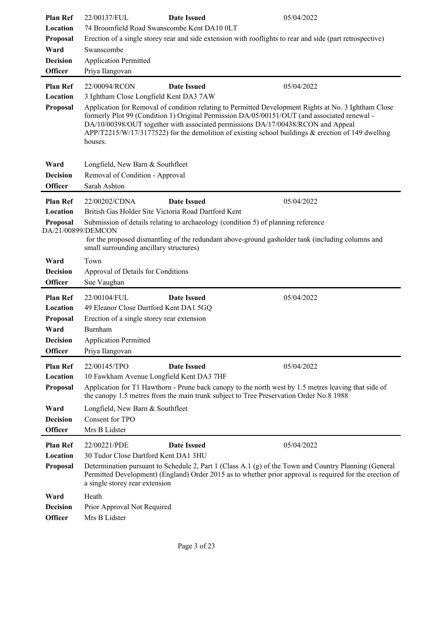| <b>Plan Ref</b>    | 22/00137/FUL<br><b>Date Issued</b>                                                                                                                                                             |  | 05/04/2022                                                                                                                                                                                                        |
|--------------------|------------------------------------------------------------------------------------------------------------------------------------------------------------------------------------------------|--|-------------------------------------------------------------------------------------------------------------------------------------------------------------------------------------------------------------------|
| Location           | 74 Broomfield Road Swanscombe Kent DA10 0LT                                                                                                                                                    |  |                                                                                                                                                                                                                   |
| Proposal           | Erection of a single storey rear and side extension with rooflights to rear and side (part retrospective)                                                                                      |  |                                                                                                                                                                                                                   |
| Ward               | Swanscombe                                                                                                                                                                                     |  |                                                                                                                                                                                                                   |
| <b>Decision</b>    | <b>Application Permitted</b>                                                                                                                                                                   |  |                                                                                                                                                                                                                   |
| <b>Officer</b>     | Priya Ilangovan                                                                                                                                                                                |  |                                                                                                                                                                                                                   |
| <b>Plan Ref</b>    | <b>Date Issued</b><br>22/00094/RCON                                                                                                                                                            |  | 05/04/2022                                                                                                                                                                                                        |
| Location           | 3 Ightham Close Longfield Kent DA3 7AW                                                                                                                                                         |  |                                                                                                                                                                                                                   |
| Proposal           | Application for Removal of condition relating to Permitted Development Rights at No. 3 Ightham Close                                                                                           |  |                                                                                                                                                                                                                   |
|                    | formerly Plot 99 (Condition 1) Original Permission DA/05/00151/OUT (and associated renewal -<br>DA/10/00398/OUT together with associated permissions DA/17/00438/RCON and Appeal               |  |                                                                                                                                                                                                                   |
|                    |                                                                                                                                                                                                |  | $APP/T2215/W/17/3177522$ for the demolition of existing school buildings & erection of 149 dwelling                                                                                                               |
|                    | houses.                                                                                                                                                                                        |  |                                                                                                                                                                                                                   |
|                    |                                                                                                                                                                                                |  |                                                                                                                                                                                                                   |
| Ward               | Longfield, New Barn & Southfleet                                                                                                                                                               |  |                                                                                                                                                                                                                   |
| <b>Decision</b>    | Removal of Condition - Approval                                                                                                                                                                |  |                                                                                                                                                                                                                   |
| <b>Officer</b>     | Sarah Ashton                                                                                                                                                                                   |  |                                                                                                                                                                                                                   |
| <b>Plan Ref</b>    | <b>Date Issued</b><br>22/00202/CDNA                                                                                                                                                            |  | 05/04/2022                                                                                                                                                                                                        |
| Location           | British Gas Holder Site Victoria Road Dartford Kent                                                                                                                                            |  |                                                                                                                                                                                                                   |
| <b>Proposal</b>    | Submission of details relating to archaeology (condition 5) of planning reference                                                                                                              |  |                                                                                                                                                                                                                   |
| DA/21/00899/DEMCON | for the proposed dismantling of the redundant above-ground gasholder tank (including columns and                                                                                               |  |                                                                                                                                                                                                                   |
|                    | small surrounding ancillary structures)                                                                                                                                                        |  |                                                                                                                                                                                                                   |
| Ward               | Town                                                                                                                                                                                           |  |                                                                                                                                                                                                                   |
| <b>Decision</b>    | Approval of Details for Conditions                                                                                                                                                             |  |                                                                                                                                                                                                                   |
| <b>Officer</b>     | Sue Vaughan                                                                                                                                                                                    |  |                                                                                                                                                                                                                   |
| <b>Plan Ref</b>    | 22/00104/FUL<br><b>Date Issued</b>                                                                                                                                                             |  | 05/04/2022                                                                                                                                                                                                        |
| Location           | 49 Eleanor Close Dartford Kent DA1 5GQ                                                                                                                                                         |  |                                                                                                                                                                                                                   |
| <b>Proposal</b>    | Erection of a single storey rear extension                                                                                                                                                     |  |                                                                                                                                                                                                                   |
| Ward               | Burnham                                                                                                                                                                                        |  |                                                                                                                                                                                                                   |
| <b>Decision</b>    | <b>Application Permitted</b>                                                                                                                                                                   |  |                                                                                                                                                                                                                   |
| <b>Officer</b>     | Priya Ilangovan                                                                                                                                                                                |  |                                                                                                                                                                                                                   |
| <b>Plan Ref</b>    | 22/00145/TPO<br><b>Date Issued</b>                                                                                                                                                             |  | 05/04/2022                                                                                                                                                                                                        |
| Location           | 10 Fawkham Avenue Longfield Kent DA3 7HF                                                                                                                                                       |  |                                                                                                                                                                                                                   |
| Proposal           | Application for T1 Hawthorn - Prune back canopy to the north west by 1.5 metres leaving that side of<br>the canopy 1.5 metres from the main trunk subject to Tree Preservation Order No.8 1988 |  |                                                                                                                                                                                                                   |
| Ward               | Longfield, New Barn & Southfleet                                                                                                                                                               |  |                                                                                                                                                                                                                   |
| <b>Decision</b>    | Consent for TPO                                                                                                                                                                                |  |                                                                                                                                                                                                                   |
| <b>Officer</b>     | Mrs B Lidster                                                                                                                                                                                  |  |                                                                                                                                                                                                                   |
| <b>Plan Ref</b>    | 22/00221/PDE<br><b>Date Issued</b>                                                                                                                                                             |  | 05/04/2022                                                                                                                                                                                                        |
| Location           | 30 Tudor Close Dartford Kent DA1 3HU                                                                                                                                                           |  |                                                                                                                                                                                                                   |
| Proposal           | a single storey rear extension                                                                                                                                                                 |  | Determination pursuant to Schedule 2, Part 1 (Class A.1 (g) of the Town and Country Planning (General<br>Permitted Development) (England) Order 2015 as to whether prior approval is required for the erection of |
| Ward               | Heath                                                                                                                                                                                          |  |                                                                                                                                                                                                                   |
| <b>Decision</b>    | Prior Approval Not Required                                                                                                                                                                    |  |                                                                                                                                                                                                                   |
| <b>Officer</b>     | Mrs B Lidster                                                                                                                                                                                  |  |                                                                                                                                                                                                                   |
|                    |                                                                                                                                                                                                |  |                                                                                                                                                                                                                   |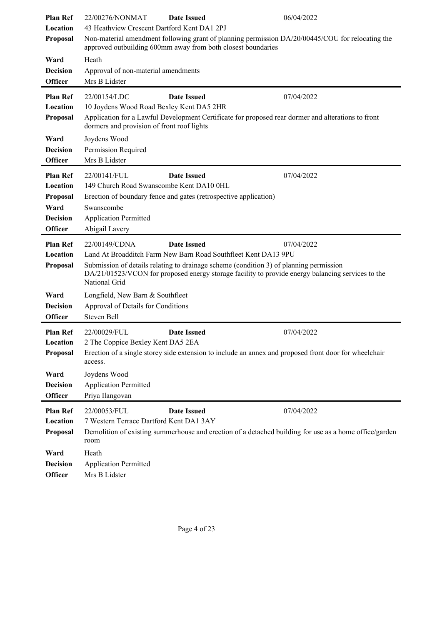| <b>Plan Ref</b>                                                                      | 22/00276/NONMAT<br><b>Date Issued</b>                                                                                                                                                                                                                                                                                 | 06/04/2022 |
|--------------------------------------------------------------------------------------|-----------------------------------------------------------------------------------------------------------------------------------------------------------------------------------------------------------------------------------------------------------------------------------------------------------------------|------------|
| Location                                                                             | 43 Heathview Crescent Dartford Kent DA1 2PJ                                                                                                                                                                                                                                                                           |            |
| Proposal                                                                             | Non-material amendment following grant of planning permission DA/20/00445/COU for relocating the<br>approved outbuilding 600mm away from both closest boundaries                                                                                                                                                      |            |
| Ward                                                                                 | Heath                                                                                                                                                                                                                                                                                                                 |            |
| <b>Decision</b>                                                                      | Approval of non-material amendments                                                                                                                                                                                                                                                                                   |            |
| <b>Officer</b>                                                                       | Mrs B Lidster                                                                                                                                                                                                                                                                                                         |            |
| <b>Plan Ref</b><br>Location<br>Proposal                                              | <b>Date Issued</b><br>22/00154/LDC<br>10 Joydens Wood Road Bexley Kent DA5 2HR<br>Application for a Lawful Development Certificate for proposed rear dormer and alterations to front                                                                                                                                  | 07/04/2022 |
| Ward<br><b>Decision</b><br><b>Officer</b>                                            | dormers and provision of front roof lights<br>Joydens Wood<br>Permission Required<br>Mrs B Lidster                                                                                                                                                                                                                    |            |
| <b>Plan Ref</b><br>Location<br>Proposal<br>Ward<br><b>Decision</b><br><b>Officer</b> | <b>Date Issued</b><br>22/00141/FUL<br>149 Church Road Swanscombe Kent DA10 0HL<br>Erection of boundary fence and gates (retrospective application)<br>Swanscombe<br><b>Application Permitted</b><br>Abigail Lavery                                                                                                    | 07/04/2022 |
| <b>Plan Ref</b><br>Location<br>Proposal                                              | <b>Date Issued</b><br>22/00149/CDNA<br>Land At Broadditch Farm New Barn Road Southfleet Kent DA13 9PU<br>Submission of details relating to drainage scheme (condition 3) of planning permission<br>DA/21/01523/VCON for proposed energy storage facility to provide energy balancing services to the<br>National Grid | 07/04/2022 |
| Ward<br><b>Decision</b><br><b>Officer</b>                                            | Longfield, New Barn & Southfleet<br>Approval of Details for Conditions<br>Steven Bell                                                                                                                                                                                                                                 |            |
| <b>Plan Ref</b><br>Location<br>Proposal                                              | <b>Date Issued</b><br>22/00029/FUL<br>2 The Coppice Bexley Kent DA5 2EA<br>Erection of a single storey side extension to include an annex and proposed front door for wheelchair<br>access.                                                                                                                           | 07/04/2022 |
| Ward<br><b>Decision</b><br><b>Officer</b>                                            | Joydens Wood<br><b>Application Permitted</b><br>Priya Ilangovan                                                                                                                                                                                                                                                       |            |
| <b>Plan Ref</b><br>Location<br>Proposal                                              | 22/00053/FUL<br><b>Date Issued</b><br>7 Western Terrace Dartford Kent DA1 3AY<br>Demolition of existing summerhouse and erection of a detached building for use as a home office/garden<br>room                                                                                                                       | 07/04/2022 |
| Ward<br><b>Decision</b><br>Officer                                                   | Heath<br><b>Application Permitted</b><br>Mrs B Lidster                                                                                                                                                                                                                                                                |            |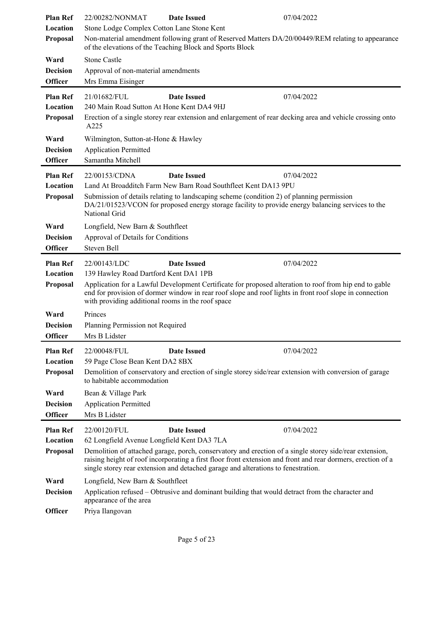| <b>Plan Ref</b><br>Location       | 22/00282/NONMAT<br>07/04/2022<br><b>Date Issued</b><br>Stone Lodge Complex Cotton Lane Stone Kent                                                                                                                                                                                                            |  |
|-----------------------------------|--------------------------------------------------------------------------------------------------------------------------------------------------------------------------------------------------------------------------------------------------------------------------------------------------------------|--|
| Proposal                          | Non-material amendment following grant of Reserved Matters DA/20/00449/REM relating to appearance<br>of the elevations of the Teaching Block and Sports Block                                                                                                                                                |  |
| Ward                              | <b>Stone Castle</b>                                                                                                                                                                                                                                                                                          |  |
| <b>Decision</b><br><b>Officer</b> | Approval of non-material amendments                                                                                                                                                                                                                                                                          |  |
|                                   | Mrs Emma Eisinger                                                                                                                                                                                                                                                                                            |  |
| <b>Plan Ref</b><br>Location       | 21/01682/FUL<br><b>Date Issued</b><br>07/04/2022<br>240 Main Road Sutton At Hone Kent DA4 9HJ                                                                                                                                                                                                                |  |
| Proposal                          | Erection of a single storey rear extension and enlargement of rear decking area and vehicle crossing onto                                                                                                                                                                                                    |  |
|                                   | A225                                                                                                                                                                                                                                                                                                         |  |
| Ward                              | Wilmington, Sutton-at-Hone & Hawley                                                                                                                                                                                                                                                                          |  |
| <b>Decision</b>                   | <b>Application Permitted</b>                                                                                                                                                                                                                                                                                 |  |
| <b>Officer</b>                    | Samantha Mitchell                                                                                                                                                                                                                                                                                            |  |
| <b>Plan Ref</b>                   | <b>Date Issued</b><br>07/04/2022<br>22/00153/CDNA                                                                                                                                                                                                                                                            |  |
| Location                          | Land At Broadditch Farm New Barn Road Southfleet Kent DA13 9PU                                                                                                                                                                                                                                               |  |
| Proposal                          | Submission of details relating to landscaping scheme (condition 2) of planning permission<br>DA/21/01523/VCON for proposed energy storage facility to provide energy balancing services to the<br>National Grid                                                                                              |  |
| Ward                              | Longfield, New Barn & Southfleet                                                                                                                                                                                                                                                                             |  |
| <b>Decision</b>                   | Approval of Details for Conditions                                                                                                                                                                                                                                                                           |  |
| <b>Officer</b>                    | Steven Bell                                                                                                                                                                                                                                                                                                  |  |
| <b>Plan Ref</b>                   | <b>Date Issued</b><br>07/04/2022<br>22/00143/LDC                                                                                                                                                                                                                                                             |  |
| Location                          | 139 Hawley Road Dartford Kent DA1 1PB                                                                                                                                                                                                                                                                        |  |
| Proposal                          | Application for a Lawful Development Certificate for proposed alteration to roof from hip end to gable<br>end for provision of dormer window in rear roof slope and roof lights in front roof slope in connection<br>with providing additional rooms in the roof space                                       |  |
| Ward                              | Princes                                                                                                                                                                                                                                                                                                      |  |
| <b>Decision</b>                   | Planning Permission not Required                                                                                                                                                                                                                                                                             |  |
| <b>Officer</b>                    | Mrs B Lidster                                                                                                                                                                                                                                                                                                |  |
| <b>Plan Ref</b>                   | 07/04/2022<br>22/00048/FUL<br><b>Date Issued</b>                                                                                                                                                                                                                                                             |  |
| Location                          | 59 Page Close Bean Kent DA2 8BX                                                                                                                                                                                                                                                                              |  |
| Proposal                          | Demolition of conservatory and erection of single storey side/rear extension with conversion of garage<br>to habitable accommodation                                                                                                                                                                         |  |
| Ward                              | Bean & Village Park                                                                                                                                                                                                                                                                                          |  |
| <b>Decision</b>                   | <b>Application Permitted</b>                                                                                                                                                                                                                                                                                 |  |
| <b>Officer</b>                    | Mrs B Lidster                                                                                                                                                                                                                                                                                                |  |
| <b>Plan Ref</b>                   | 22/00120/FUL<br><b>Date Issued</b><br>07/04/2022                                                                                                                                                                                                                                                             |  |
| Location                          | 62 Longfield Avenue Longfield Kent DA3 7LA                                                                                                                                                                                                                                                                   |  |
| Proposal                          | Demolition of attached garage, porch, conservatory and erection of a single storey side/rear extension,<br>raising height of roof incorporating a first floor front extension and front and rear dormers, erection of a<br>single storey rear extension and detached garage and alterations to fenestration. |  |
| Ward                              | Longfield, New Barn & Southfleet                                                                                                                                                                                                                                                                             |  |
| <b>Decision</b>                   | Application refused – Obtrusive and dominant building that would detract from the character and<br>appearance of the area                                                                                                                                                                                    |  |
| <b>Officer</b>                    | Priya Ilangovan                                                                                                                                                                                                                                                                                              |  |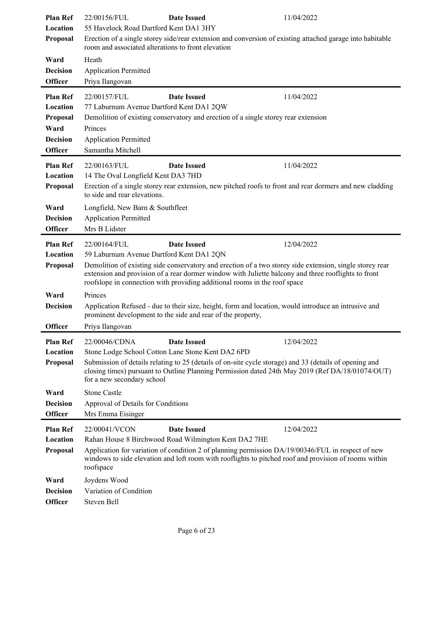| <b>Plan Ref</b><br>Location<br>Proposal<br>Ward<br><b>Decision</b>                   | 22/00156/FUL<br><b>Date Issued</b><br>11/04/2022<br>55 Havelock Road Dartford Kent DA1 3HY<br>Erection of a single storey side/rear extension and conversion of existing attached garage into habitable<br>room and associated alterations to front elevation<br>Heath<br><b>Application Permitted</b>                                                                                       |
|--------------------------------------------------------------------------------------|----------------------------------------------------------------------------------------------------------------------------------------------------------------------------------------------------------------------------------------------------------------------------------------------------------------------------------------------------------------------------------------------|
| <b>Officer</b>                                                                       | Priya Ilangovan                                                                                                                                                                                                                                                                                                                                                                              |
| <b>Plan Ref</b><br>Location<br>Proposal<br>Ward<br><b>Decision</b><br><b>Officer</b> | 22/00157/FUL<br><b>Date Issued</b><br>11/04/2022<br>77 Laburnum Avenue Dartford Kent DA1 2QW<br>Demolition of existing conservatory and erection of a single storey rear extension<br>Princes<br><b>Application Permitted</b><br>Samantha Mitchell                                                                                                                                           |
| <b>Plan Ref</b><br>Location<br><b>Proposal</b>                                       | 22/00163/FUL<br><b>Date Issued</b><br>11/04/2022<br>14 The Oval Longfield Kent DA3 7HD<br>Erection of a single storey rear extension, new pitched roofs to front and rear dormers and new cladding<br>to side and rear elevations.                                                                                                                                                           |
| Ward<br><b>Decision</b><br><b>Officer</b>                                            | Longfield, New Barn & Southfleet<br><b>Application Permitted</b><br>Mrs B Lidster                                                                                                                                                                                                                                                                                                            |
| <b>Plan Ref</b><br>Location<br>Proposal                                              | <b>Date Issued</b><br>12/04/2022<br>22/00164/FUL<br>59 Laburnum Avenue Dartford Kent DA1 2QN<br>Demolition of existing side conservatory and erection of a two storey side extension, single storey rear<br>extension and provision of a rear dormer window with Juliette balcony and three rooflights to front<br>roofslope in connection with providing additional rooms in the roof space |
| Ward<br><b>Decision</b><br><b>Officer</b>                                            | Princes<br>Application Refused - due to their size, height, form and location, would introduce an intrusive and<br>prominent development to the side and rear of the property,<br>Priya Ilangovan                                                                                                                                                                                            |
| <b>Plan Ref</b><br>Location<br>Proposal                                              | 22/00046/CDNA<br><b>Date Issued</b><br>12/04/2022<br>Stone Lodge School Cotton Lane Stone Kent DA2 6PD<br>Submission of details relating to 25 (details of on-site cycle storage) and 33 (details of opening and<br>closing times) pursuant to Outline Planning Permission dated 24th May 2019 (Ref DA/18/01074/OUT)<br>for a new secondary school                                           |
| Ward<br><b>Decision</b><br><b>Officer</b>                                            | <b>Stone Castle</b><br>Approval of Details for Conditions<br>Mrs Emma Eisinger                                                                                                                                                                                                                                                                                                               |
| <b>Plan Ref</b><br>Location<br>Proposal                                              | 22/00041/VCON<br><b>Date Issued</b><br>12/04/2022<br>Rahan House 8 Birchwood Road Wilmington Kent DA2 7HE<br>Application for variation of condition 2 of planning permission DA/19/00346/FUL in respect of new<br>windows to side elevation and loft room with rooflights to pitched roof and provision of rooms within<br>roofspace                                                         |
| Ward<br><b>Decision</b><br><b>Officer</b>                                            | Joydens Wood<br>Variation of Condition<br>Steven Bell                                                                                                                                                                                                                                                                                                                                        |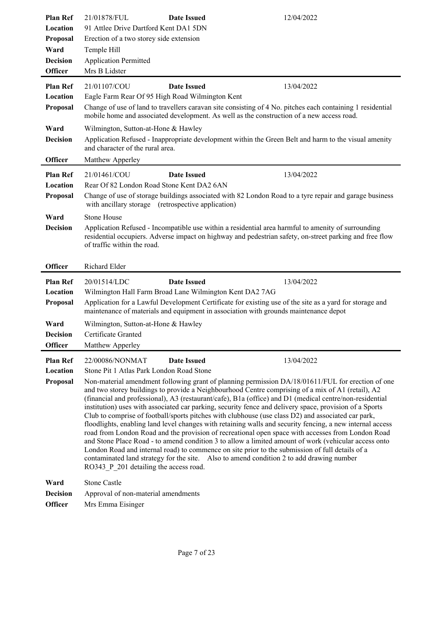| <b>Plan Ref</b>                   | 21/01878/FUL<br><b>Date Issued</b>                                                                                                                                                                                                                                                                                                                                                                                                                                                                                                                                                                                                                                                                                                                                                                                                                                                                                                                                                                                                                                                                    | 12/04/2022 |  |
|-----------------------------------|-------------------------------------------------------------------------------------------------------------------------------------------------------------------------------------------------------------------------------------------------------------------------------------------------------------------------------------------------------------------------------------------------------------------------------------------------------------------------------------------------------------------------------------------------------------------------------------------------------------------------------------------------------------------------------------------------------------------------------------------------------------------------------------------------------------------------------------------------------------------------------------------------------------------------------------------------------------------------------------------------------------------------------------------------------------------------------------------------------|------------|--|
| Location<br>Proposal              | 91 Attlee Drive Dartford Kent DA1 5DN<br>Erection of a two storey side extension                                                                                                                                                                                                                                                                                                                                                                                                                                                                                                                                                                                                                                                                                                                                                                                                                                                                                                                                                                                                                      |            |  |
| Ward                              | Temple Hill                                                                                                                                                                                                                                                                                                                                                                                                                                                                                                                                                                                                                                                                                                                                                                                                                                                                                                                                                                                                                                                                                           |            |  |
| <b>Decision</b>                   | <b>Application Permitted</b>                                                                                                                                                                                                                                                                                                                                                                                                                                                                                                                                                                                                                                                                                                                                                                                                                                                                                                                                                                                                                                                                          |            |  |
| <b>Officer</b>                    | Mrs B Lidster                                                                                                                                                                                                                                                                                                                                                                                                                                                                                                                                                                                                                                                                                                                                                                                                                                                                                                                                                                                                                                                                                         |            |  |
| <b>Plan Ref</b>                   | <b>Date Issued</b><br>21/01107/COU                                                                                                                                                                                                                                                                                                                                                                                                                                                                                                                                                                                                                                                                                                                                                                                                                                                                                                                                                                                                                                                                    | 13/04/2022 |  |
| Location                          | Eagle Farm Rear Of 95 High Road Wilmington Kent                                                                                                                                                                                                                                                                                                                                                                                                                                                                                                                                                                                                                                                                                                                                                                                                                                                                                                                                                                                                                                                       |            |  |
| Proposal                          | Change of use of land to travellers caravan site consisting of 4 No. pitches each containing 1 residential<br>mobile home and associated development. As well as the construction of a new access road.                                                                                                                                                                                                                                                                                                                                                                                                                                                                                                                                                                                                                                                                                                                                                                                                                                                                                               |            |  |
| Ward                              | Wilmington, Sutton-at-Hone & Hawley                                                                                                                                                                                                                                                                                                                                                                                                                                                                                                                                                                                                                                                                                                                                                                                                                                                                                                                                                                                                                                                                   |            |  |
| <b>Decision</b>                   | Application Refused - Inappropriate development within the Green Belt and harm to the visual amenity<br>and character of the rural area.                                                                                                                                                                                                                                                                                                                                                                                                                                                                                                                                                                                                                                                                                                                                                                                                                                                                                                                                                              |            |  |
| <b>Officer</b>                    | Matthew Apperley                                                                                                                                                                                                                                                                                                                                                                                                                                                                                                                                                                                                                                                                                                                                                                                                                                                                                                                                                                                                                                                                                      |            |  |
| <b>Plan Ref</b>                   | <b>Date Issued</b><br>21/01461/COU                                                                                                                                                                                                                                                                                                                                                                                                                                                                                                                                                                                                                                                                                                                                                                                                                                                                                                                                                                                                                                                                    | 13/04/2022 |  |
| Location                          | Rear Of 82 London Road Stone Kent DA2 6AN                                                                                                                                                                                                                                                                                                                                                                                                                                                                                                                                                                                                                                                                                                                                                                                                                                                                                                                                                                                                                                                             |            |  |
| Proposal                          | Change of use of storage buildings associated with 82 London Road to a tyre repair and garage business<br>with ancillary storage (retrospective application)                                                                                                                                                                                                                                                                                                                                                                                                                                                                                                                                                                                                                                                                                                                                                                                                                                                                                                                                          |            |  |
| Ward                              | Stone House                                                                                                                                                                                                                                                                                                                                                                                                                                                                                                                                                                                                                                                                                                                                                                                                                                                                                                                                                                                                                                                                                           |            |  |
| <b>Decision</b>                   | Application Refused - Incompatible use within a residential area harmful to amenity of surrounding<br>residential occupiers. Adverse impact on highway and pedestrian safety, on-street parking and free flow<br>of traffic within the road.                                                                                                                                                                                                                                                                                                                                                                                                                                                                                                                                                                                                                                                                                                                                                                                                                                                          |            |  |
|                                   |                                                                                                                                                                                                                                                                                                                                                                                                                                                                                                                                                                                                                                                                                                                                                                                                                                                                                                                                                                                                                                                                                                       |            |  |
| <b>Officer</b>                    | Richard Elder                                                                                                                                                                                                                                                                                                                                                                                                                                                                                                                                                                                                                                                                                                                                                                                                                                                                                                                                                                                                                                                                                         |            |  |
| <b>Plan Ref</b>                   | <b>Date Issued</b><br>20/01514/LDC                                                                                                                                                                                                                                                                                                                                                                                                                                                                                                                                                                                                                                                                                                                                                                                                                                                                                                                                                                                                                                                                    | 13/04/2022 |  |
| Location                          | Wilmington Hall Farm Broad Lane Wilmington Kent DA2 7AG                                                                                                                                                                                                                                                                                                                                                                                                                                                                                                                                                                                                                                                                                                                                                                                                                                                                                                                                                                                                                                               |            |  |
| Proposal                          | Application for a Lawful Development Certificate for existing use of the site as a yard for storage and<br>maintenance of materials and equipment in association with grounds maintenance depot                                                                                                                                                                                                                                                                                                                                                                                                                                                                                                                                                                                                                                                                                                                                                                                                                                                                                                       |            |  |
| Ward                              | Wilmington, Sutton-at-Hone & Hawley                                                                                                                                                                                                                                                                                                                                                                                                                                                                                                                                                                                                                                                                                                                                                                                                                                                                                                                                                                                                                                                                   |            |  |
| <b>Decision</b>                   | Certificate Granted                                                                                                                                                                                                                                                                                                                                                                                                                                                                                                                                                                                                                                                                                                                                                                                                                                                                                                                                                                                                                                                                                   |            |  |
| Officer                           | Matthew Apperley                                                                                                                                                                                                                                                                                                                                                                                                                                                                                                                                                                                                                                                                                                                                                                                                                                                                                                                                                                                                                                                                                      |            |  |
| <b>Plan Ref</b>                   | 22/00086/NONMAT<br><b>Date Issued</b>                                                                                                                                                                                                                                                                                                                                                                                                                                                                                                                                                                                                                                                                                                                                                                                                                                                                                                                                                                                                                                                                 | 13/04/2022 |  |
| Location                          | Stone Pit 1 Atlas Park London Road Stone                                                                                                                                                                                                                                                                                                                                                                                                                                                                                                                                                                                                                                                                                                                                                                                                                                                                                                                                                                                                                                                              |            |  |
| Proposal                          | Non-material amendment following grant of planning permission DA/18/01611/FUL for erection of one<br>and two storey buildings to provide a Neighbourhood Centre comprising of a mix of A1 (retail), A2<br>(financial and professional), A3 (restaurant/cafe), B1a (office) and D1 (medical centre/non-residential<br>institution) uses with associated car parking, security fence and delivery space, provision of a Sports<br>Club to comprise of football/sports pitches with clubhouse (use class D2) and associated car park,<br>floodlights, enabling land level changes with retaining walls and security fencing, a new internal access<br>road from London Road and the provision of recreational open space with accesses from London Road<br>and Stone Place Road - to amend condition 3 to allow a limited amount of work (vehicular access onto<br>London Road and internal road) to commence on site prior to the submission of full details of a<br>contaminated land strategy for the site. Also to amend condition 2 to add drawing number<br>RO343 P 201 detailing the access road. |            |  |
| Ward                              | <b>Stone Castle</b>                                                                                                                                                                                                                                                                                                                                                                                                                                                                                                                                                                                                                                                                                                                                                                                                                                                                                                                                                                                                                                                                                   |            |  |
| <b>Decision</b><br><b>Officer</b> | Approval of non-material amendments<br>Mrs Emma Eisinger                                                                                                                                                                                                                                                                                                                                                                                                                                                                                                                                                                                                                                                                                                                                                                                                                                                                                                                                                                                                                                              |            |  |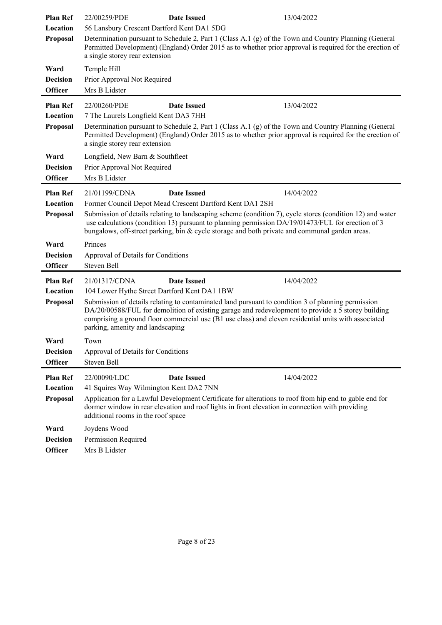| <b>Plan Ref</b>                   | 22/00259/PDE<br><b>Date Issued</b><br>13/04/2022                                                                                                                                                                                                                                                                                                     |
|-----------------------------------|------------------------------------------------------------------------------------------------------------------------------------------------------------------------------------------------------------------------------------------------------------------------------------------------------------------------------------------------------|
| Location                          | 56 Lansbury Crescent Dartford Kent DA1 5DG                                                                                                                                                                                                                                                                                                           |
| Proposal                          | Determination pursuant to Schedule 2, Part 1 (Class A.1 (g) of the Town and Country Planning (General<br>Permitted Development) (England) Order 2015 as to whether prior approval is required for the erection of<br>a single storey rear extension                                                                                                  |
| Ward                              | Temple Hill                                                                                                                                                                                                                                                                                                                                          |
| <b>Decision</b><br><b>Officer</b> | Prior Approval Not Required<br>Mrs B Lidster                                                                                                                                                                                                                                                                                                         |
| <b>Plan Ref</b>                   | 13/04/2022<br>22/00260/PDE<br><b>Date Issued</b>                                                                                                                                                                                                                                                                                                     |
| Location                          | 7 The Laurels Longfield Kent DA3 7HH                                                                                                                                                                                                                                                                                                                 |
| Proposal                          | Determination pursuant to Schedule 2, Part 1 (Class A.1 (g) of the Town and Country Planning (General<br>Permitted Development) (England) Order 2015 as to whether prior approval is required for the erection of<br>a single storey rear extension                                                                                                  |
| Ward                              | Longfield, New Barn & Southfleet                                                                                                                                                                                                                                                                                                                     |
| <b>Decision</b>                   | Prior Approval Not Required                                                                                                                                                                                                                                                                                                                          |
| <b>Officer</b>                    | Mrs B Lidster                                                                                                                                                                                                                                                                                                                                        |
| <b>Plan Ref</b>                   | <b>Date Issued</b><br>14/04/2022<br>21/01199/CDNA                                                                                                                                                                                                                                                                                                    |
| Location                          | Former Council Depot Mead Crescent Dartford Kent DA1 2SH                                                                                                                                                                                                                                                                                             |
| Proposal                          | Submission of details relating to landscaping scheme (condition 7), cycle stores (condition 12) and water<br>use calculations (condition 13) pursuant to planning permission DA/19/01473/FUL for erection of 3                                                                                                                                       |
|                                   | bungalows, off-street parking, bin & cycle storage and both private and communal garden areas.                                                                                                                                                                                                                                                       |
| Ward                              | Princes                                                                                                                                                                                                                                                                                                                                              |
| <b>Decision</b>                   | Approval of Details for Conditions                                                                                                                                                                                                                                                                                                                   |
| <b>Officer</b>                    | Steven Bell                                                                                                                                                                                                                                                                                                                                          |
| <b>Plan Ref</b>                   | <b>Date Issued</b><br>14/04/2022<br>21/01317/CDNA                                                                                                                                                                                                                                                                                                    |
| Location                          | 104 Lower Hythe Street Dartford Kent DA1 1BW                                                                                                                                                                                                                                                                                                         |
| Proposal                          | Submission of details relating to contaminated land pursuant to condition 3 of planning permission<br>DA/20/00588/FUL for demolition of existing garage and redevelopment to provide a 5 storey building<br>comprising a ground floor commercial use (B1 use class) and eleven residential units with associated<br>parking, amenity and landscaping |
| Ward                              | Town                                                                                                                                                                                                                                                                                                                                                 |
| <b>Decision</b>                   | Approval of Details for Conditions                                                                                                                                                                                                                                                                                                                   |
| <b>Officer</b>                    |                                                                                                                                                                                                                                                                                                                                                      |
|                                   | Steven Bell                                                                                                                                                                                                                                                                                                                                          |
| <b>Plan Ref</b>                   | 22/00090/LDC<br><b>Date Issued</b><br>14/04/2022                                                                                                                                                                                                                                                                                                     |
| Location                          | 41 Squires Way Wilmington Kent DA2 7NN                                                                                                                                                                                                                                                                                                               |
| Proposal                          | Application for a Lawful Development Certificate for alterations to roof from hip end to gable end for<br>dormer window in rear elevation and roof lights in front elevation in connection with providing<br>additional rooms in the roof space                                                                                                      |
| Ward                              | Joydens Wood                                                                                                                                                                                                                                                                                                                                         |
| <b>Decision</b>                   | Permission Required                                                                                                                                                                                                                                                                                                                                  |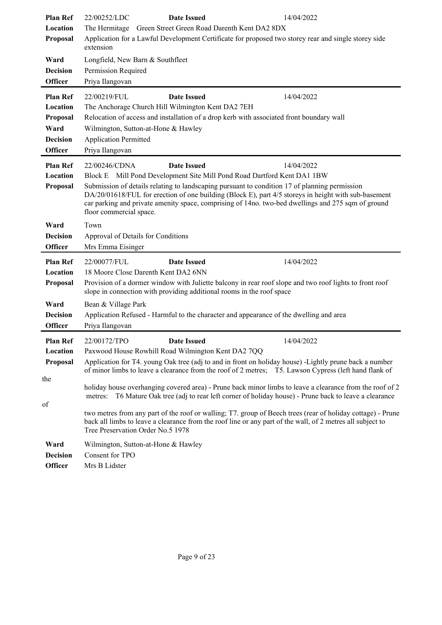| <b>Plan Ref</b><br>Location<br>Proposal                                              | 22/00252/LDC<br><b>Date Issued</b><br>The Hermitage Green Street Green Road Darenth Kent DA2 8DX<br>Application for a Lawful Development Certificate for proposed two storey rear and single storey side<br>extension                                                                                                                                                                                                                                                                 | 14/04/2022 |
|--------------------------------------------------------------------------------------|---------------------------------------------------------------------------------------------------------------------------------------------------------------------------------------------------------------------------------------------------------------------------------------------------------------------------------------------------------------------------------------------------------------------------------------------------------------------------------------|------------|
| Ward<br><b>Decision</b><br><b>Officer</b>                                            | Longfield, New Barn & Southfleet<br>Permission Required<br>Priya Ilangovan                                                                                                                                                                                                                                                                                                                                                                                                            |            |
| <b>Plan Ref</b><br>Location<br>Proposal<br>Ward<br><b>Decision</b><br><b>Officer</b> | 22/00219/FUL<br><b>Date Issued</b><br>The Anchorage Church Hill Wilmington Kent DA2 7EH<br>Relocation of access and installation of a drop kerb with associated front boundary wall<br>Wilmington, Sutton-at-Hone & Hawley<br><b>Application Permitted</b><br>Priya Ilangovan                                                                                                                                                                                                         | 14/04/2022 |
| <b>Plan Ref</b><br>Location<br>Proposal                                              | 22/00246/CDNA<br><b>Date Issued</b><br>Block E Mill Pond Development Site Mill Pond Road Dartford Kent DA1 1BW<br>Submission of details relating to landscaping pursuant to condition 17 of planning permission<br>DA/20/01618/FUL for erection of one building (Block E), part 4/5 storeys in height with sub-basement<br>car parking and private amenity space, comprising of 14no. two-bed dwellings and 275 sqm of ground<br>floor commercial space.                              | 14/04/2022 |
| Ward<br><b>Decision</b><br><b>Officer</b>                                            | Town<br>Approval of Details for Conditions<br>Mrs Emma Eisinger                                                                                                                                                                                                                                                                                                                                                                                                                       |            |
| <b>Plan Ref</b><br>Location<br>Proposal                                              | <b>Date Issued</b><br>22/00077/FUL<br>18 Moore Close Darenth Kent DA2 6NN<br>Provision of a dormer window with Juliette balcony in rear roof slope and two roof lights to front roof<br>slope in connection with providing additional rooms in the roof space                                                                                                                                                                                                                         | 14/04/2022 |
| Ward<br><b>Decision</b><br><b>Officer</b>                                            | Bean & Village Park<br>Application Refused - Harmful to the character and appearance of the dwelling and area<br>Priya Ilangovan                                                                                                                                                                                                                                                                                                                                                      |            |
| <b>Plan Ref</b><br>Location<br>Proposal                                              | 22/00172/TPO<br><b>Date Issued</b><br>Paxwood House Rowhill Road Wilmington Kent DA2 7QQ<br>Application for T4. young Oak tree (adj to and in front on holiday house) -Lightly prune back a number<br>of minor limbs to leave a clearance from the roof of 2 metres; T5. Lawson Cypress (left hand flank of                                                                                                                                                                           | 14/04/2022 |
| the<br>of                                                                            | holiday house overhanging covered area) - Prune back minor limbs to leave a clearance from the roof of 2<br>metres: T6 Mature Oak tree (adj to rear left corner of holiday house) - Prune back to leave a clearance<br>two metres from any part of the roof or walling; T7. group of Beech trees (rear of holiday cottage) - Prune<br>back all limbs to leave a clearance from the roof line or any part of the wall, of 2 metres all subject to<br>Tree Preservation Order No.5 1978 |            |
| Ward<br><b>Decision</b><br><b>Officer</b>                                            | Wilmington, Sutton-at-Hone & Hawley<br>Consent for TPO<br>Mrs B Lidster                                                                                                                                                                                                                                                                                                                                                                                                               |            |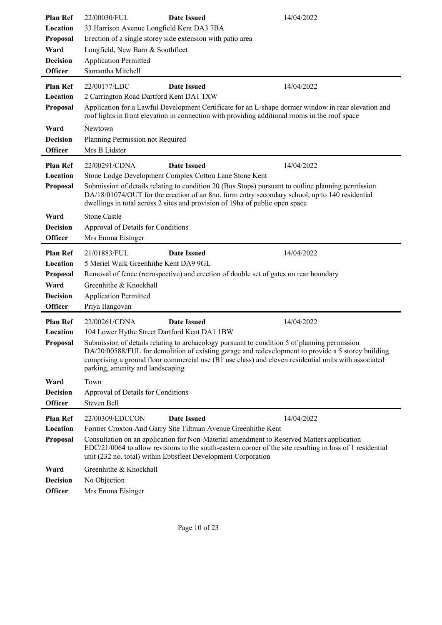| <b>Plan Ref</b><br>Location<br>Proposal<br>Ward<br><b>Decision</b>                   | 22/00030/FUL<br>33 Harrison Avenue Longfield Kent DA3 7BA<br>Longfield, New Barn & Southfleet<br><b>Application Permitted</b>                                  | <b>Date Issued</b><br>Erection of a single storey side extension with patio area                                                                                                                                                                                                                                                                                     | 14/04/2022                                                                                                                                                                                                               |
|--------------------------------------------------------------------------------------|----------------------------------------------------------------------------------------------------------------------------------------------------------------|----------------------------------------------------------------------------------------------------------------------------------------------------------------------------------------------------------------------------------------------------------------------------------------------------------------------------------------------------------------------|--------------------------------------------------------------------------------------------------------------------------------------------------------------------------------------------------------------------------|
| <b>Officer</b>                                                                       | Samantha Mitchell                                                                                                                                              |                                                                                                                                                                                                                                                                                                                                                                      |                                                                                                                                                                                                                          |
| <b>Plan Ref</b><br>Location<br>Proposal                                              | 22/00177/LDC<br>2 Carrington Road Dartford Kent DA1 1XW                                                                                                        | <b>Date Issued</b><br>roof lights in front elevation in connection with providing additional rooms in the roof space                                                                                                                                                                                                                                                 | 14/04/2022<br>Application for a Lawful Development Certificate for an L-shape dormer window in rear elevation and                                                                                                        |
| Ward<br><b>Decision</b><br><b>Officer</b>                                            | Newtown<br>Planning Permission not Required<br>Mrs B Lidster                                                                                                   |                                                                                                                                                                                                                                                                                                                                                                      |                                                                                                                                                                                                                          |
| <b>Plan Ref</b><br>Location<br>Proposal                                              | 22/00291/CDNA                                                                                                                                                  | <b>Date Issued</b><br>Stone Lodge Development Complex Cotton Lane Stone Kent<br>Submission of details relating to condition 20 (Bus Stops) pursuant to outline planning permission<br>DA/18/01074/OUT for the erection of an 8no. form entry secondary school, up to 140 residential<br>dwellings in total across 2 sites and provision of 19ha of public open space | 14/04/2022                                                                                                                                                                                                               |
| Ward<br><b>Decision</b><br><b>Officer</b>                                            | <b>Stone Castle</b><br>Approval of Details for Conditions<br>Mrs Emma Eisinger                                                                                 |                                                                                                                                                                                                                                                                                                                                                                      |                                                                                                                                                                                                                          |
| <b>Plan Ref</b><br>Location<br>Proposal<br>Ward<br><b>Decision</b><br><b>Officer</b> | 21/01883/FUL<br>5 Meriel Walk Greenhithe Kent DA9 9GL<br>Greenhithe & Knockhall<br><b>Application Permitted</b><br>Priya Ilangovan                             | <b>Date Issued</b><br>Removal of fence (retrospective) and erection of double set of gates on rear boundary                                                                                                                                                                                                                                                          | 14/04/2022                                                                                                                                                                                                               |
| <b>Plan Ref</b><br>Location<br>Proposal<br>Ward<br><b>Decision</b><br><b>Officer</b> | 22/00261/CDNA<br>104 Lower Hythe Street Dartford Kent DA1 1BW<br>parking, amenity and landscaping<br>Town<br>Approval of Details for Conditions<br>Steven Bell | <b>Date Issued</b><br>Submission of details relating to archaeology pursuant to condition 5 of planning permission                                                                                                                                                                                                                                                   | 14/04/2022<br>DA/20/00588/FUL for demolition of existing garage and redevelopment to provide a 5 storey building<br>comprising a ground floor commercial use (B1 use class) and eleven residential units with associated |
| <b>Plan Ref</b><br>Location<br>Proposal                                              | 22/00309/EDCCON                                                                                                                                                | <b>Date Issued</b><br>Former Croxton And Garry Site Tiltman Avenue Greenhithe Kent<br>Consultation on an application for Non-Material amendment to Reserved Matters application<br>unit (232 no. total) within Ebbsfleet Development Corporation                                                                                                                     | 14/04/2022<br>$EDC/21/0064$ to allow revisions to the south-eastern corner of the site resulting in loss of 1 residential                                                                                                |
| Ward<br><b>Decision</b><br><b>Officer</b>                                            | Greenhithe & Knockhall<br>No Objection<br>Mrs Emma Eisinger                                                                                                    |                                                                                                                                                                                                                                                                                                                                                                      |                                                                                                                                                                                                                          |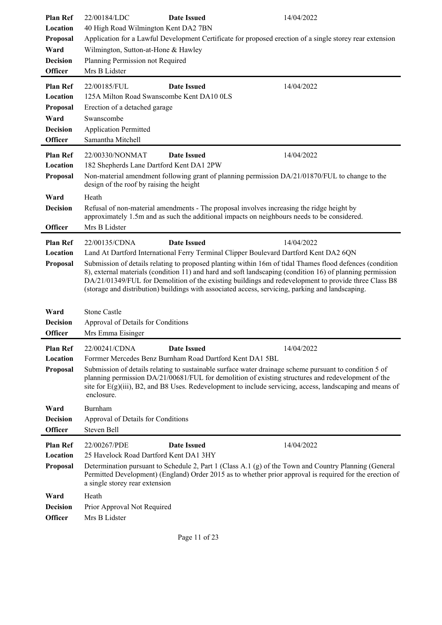| <b>Plan Ref</b><br>Location | 22/00184/LDC<br>40 High Road Wilmington Kent DA2 7BN                                                     | <b>Date Issued</b>                                                                                                                                                                       | 14/04/2022                                                                                                                                                                                                                                                                                                                    |
|-----------------------------|----------------------------------------------------------------------------------------------------------|------------------------------------------------------------------------------------------------------------------------------------------------------------------------------------------|-------------------------------------------------------------------------------------------------------------------------------------------------------------------------------------------------------------------------------------------------------------------------------------------------------------------------------|
| Proposal                    | Application for a Lawful Development Certificate for proposed erection of a single storey rear extension |                                                                                                                                                                                          |                                                                                                                                                                                                                                                                                                                               |
| Ward                        | Wilmington, Sutton-at-Hone & Hawley                                                                      |                                                                                                                                                                                          |                                                                                                                                                                                                                                                                                                                               |
| <b>Decision</b>             | Planning Permission not Required                                                                         |                                                                                                                                                                                          |                                                                                                                                                                                                                                                                                                                               |
| <b>Officer</b>              | Mrs B Lidster                                                                                            |                                                                                                                                                                                          |                                                                                                                                                                                                                                                                                                                               |
| <b>Plan Ref</b>             | 22/00185/FUL                                                                                             | <b>Date Issued</b>                                                                                                                                                                       | 14/04/2022                                                                                                                                                                                                                                                                                                                    |
| Location                    | 125A Milton Road Swanscombe Kent DA10 0LS                                                                |                                                                                                                                                                                          |                                                                                                                                                                                                                                                                                                                               |
| Proposal                    | Erection of a detached garage                                                                            |                                                                                                                                                                                          |                                                                                                                                                                                                                                                                                                                               |
| Ward                        | Swanscombe                                                                                               |                                                                                                                                                                                          |                                                                                                                                                                                                                                                                                                                               |
| <b>Decision</b>             | <b>Application Permitted</b>                                                                             |                                                                                                                                                                                          |                                                                                                                                                                                                                                                                                                                               |
| <b>Officer</b>              | Samantha Mitchell                                                                                        |                                                                                                                                                                                          |                                                                                                                                                                                                                                                                                                                               |
| <b>Plan Ref</b>             | 22/00330/NONMAT                                                                                          | <b>Date Issued</b>                                                                                                                                                                       | 14/04/2022                                                                                                                                                                                                                                                                                                                    |
| Location                    | 182 Shepherds Lane Dartford Kent DA1 2PW                                                                 |                                                                                                                                                                                          |                                                                                                                                                                                                                                                                                                                               |
| Proposal                    | design of the roof by raising the height                                                                 | Non-material amendment following grant of planning permission DA/21/01870/FUL to change to the                                                                                           |                                                                                                                                                                                                                                                                                                                               |
| Ward                        | Heath                                                                                                    |                                                                                                                                                                                          |                                                                                                                                                                                                                                                                                                                               |
| <b>Decision</b>             |                                                                                                          | Refusal of non-material amendments - The proposal involves increasing the ridge height by<br>approximately 1.5m and as such the additional impacts on neighbours needs to be considered. |                                                                                                                                                                                                                                                                                                                               |
| <b>Officer</b>              | Mrs B Lidster                                                                                            |                                                                                                                                                                                          |                                                                                                                                                                                                                                                                                                                               |
| <b>Plan Ref</b>             | 22/00135/CDNA                                                                                            | <b>Date Issued</b>                                                                                                                                                                       | 14/04/2022                                                                                                                                                                                                                                                                                                                    |
| Location                    |                                                                                                          | Land At Dartford International Ferry Terminal Clipper Boulevard Dartford Kent DA2 6QN                                                                                                    |                                                                                                                                                                                                                                                                                                                               |
| Proposal                    |                                                                                                          | (storage and distribution) buildings with associated access, servicing, parking and landscaping.                                                                                         | Submission of details relating to proposed planting within 16m of tidal Thames flood defences (condition<br>8), external materials (condition 11) and hard and soft landscaping (condition 16) of planning permission<br>DA/21/01349/FUL for Demolition of the existing buildings and redevelopment to provide three Class B8 |
| Ward                        | <b>Stone Castle</b>                                                                                      |                                                                                                                                                                                          |                                                                                                                                                                                                                                                                                                                               |
| <b>Decision</b>             | Approval of Details for Conditions                                                                       |                                                                                                                                                                                          |                                                                                                                                                                                                                                                                                                                               |
| <b>Officer</b>              | Mrs Emma Eisinger                                                                                        |                                                                                                                                                                                          |                                                                                                                                                                                                                                                                                                                               |
| <b>Plan Ref</b>             | 22/00241/CDNA                                                                                            | <b>Date Issued</b>                                                                                                                                                                       | 14/04/2022                                                                                                                                                                                                                                                                                                                    |
| Location                    | Forrmer Mercedes Benz Burnham Road Dartford Kent DA1 5BL                                                 |                                                                                                                                                                                          |                                                                                                                                                                                                                                                                                                                               |
| Proposal                    |                                                                                                          |                                                                                                                                                                                          |                                                                                                                                                                                                                                                                                                                               |
|                             | enclosure.                                                                                               |                                                                                                                                                                                          | Submission of details relating to sustainable surface water drainage scheme pursuant to condition 5 of<br>planning permission DA/21/00681/FUL for demolition of existing structures and redevelopment of the<br>site for E(g)(iii), B2, and B8 Uses. Redevelopment to include servicing, access, landscaping and means of     |
| Ward                        | Burnham                                                                                                  |                                                                                                                                                                                          |                                                                                                                                                                                                                                                                                                                               |
| <b>Decision</b>             | Approval of Details for Conditions                                                                       |                                                                                                                                                                                          |                                                                                                                                                                                                                                                                                                                               |
| <b>Officer</b>              | Steven Bell                                                                                              |                                                                                                                                                                                          |                                                                                                                                                                                                                                                                                                                               |
| <b>Plan Ref</b>             | 22/00267/PDE                                                                                             | <b>Date Issued</b>                                                                                                                                                                       | 14/04/2022                                                                                                                                                                                                                                                                                                                    |
| Location                    | 25 Havelock Road Dartford Kent DA1 3HY                                                                   |                                                                                                                                                                                          |                                                                                                                                                                                                                                                                                                                               |
| Proposal                    | a single storey rear extension                                                                           |                                                                                                                                                                                          | Determination pursuant to Schedule 2, Part 1 (Class A.1 (g) of the Town and Country Planning (General<br>Permitted Development) (England) Order 2015 as to whether prior approval is required for the erection of                                                                                                             |
| Ward                        | Heath                                                                                                    |                                                                                                                                                                                          |                                                                                                                                                                                                                                                                                                                               |
| <b>Decision</b>             | Prior Approval Not Required                                                                              |                                                                                                                                                                                          |                                                                                                                                                                                                                                                                                                                               |
| <b>Officer</b>              | Mrs B Lidster                                                                                            |                                                                                                                                                                                          |                                                                                                                                                                                                                                                                                                                               |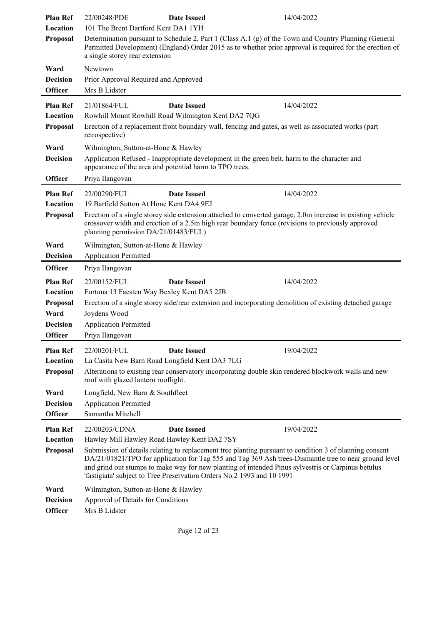| <b>Plan Ref</b> | 22/00248/PDE                                                                                                                                                                                                                                        | <b>Date Issued</b> | 14/04/2022                                                                                                                                                                                                                                                                                                             |
|-----------------|-----------------------------------------------------------------------------------------------------------------------------------------------------------------------------------------------------------------------------------------------------|--------------------|------------------------------------------------------------------------------------------------------------------------------------------------------------------------------------------------------------------------------------------------------------------------------------------------------------------------|
| Location        | 101 The Brent Dartford Kent DA1 1YH                                                                                                                                                                                                                 |                    |                                                                                                                                                                                                                                                                                                                        |
| Proposal        | Determination pursuant to Schedule 2, Part 1 (Class A.1 (g) of the Town and Country Planning (General<br>Permitted Development) (England) Order 2015 as to whether prior approval is required for the erection of<br>a single storey rear extension |                    |                                                                                                                                                                                                                                                                                                                        |
| Ward            | Newtown                                                                                                                                                                                                                                             |                    |                                                                                                                                                                                                                                                                                                                        |
| <b>Decision</b> | Prior Approval Required and Approved                                                                                                                                                                                                                |                    |                                                                                                                                                                                                                                                                                                                        |
| <b>Officer</b>  | Mrs B Lidster                                                                                                                                                                                                                                       |                    |                                                                                                                                                                                                                                                                                                                        |
| <b>Plan Ref</b> | 21/01864/FUL                                                                                                                                                                                                                                        | <b>Date Issued</b> | 14/04/2022                                                                                                                                                                                                                                                                                                             |
| Location        | Rowhill Mount Rowhill Road Wilmington Kent DA2 7QG                                                                                                                                                                                                  |                    |                                                                                                                                                                                                                                                                                                                        |
| Proposal        | retrospective)                                                                                                                                                                                                                                      |                    | Erection of a replacement front boundary wall, fencing and gates, as well as associated works (part                                                                                                                                                                                                                    |
| Ward            | Wilmington, Sutton-at-Hone & Hawley                                                                                                                                                                                                                 |                    |                                                                                                                                                                                                                                                                                                                        |
| <b>Decision</b> | appearance of the area and potential harm to TPO trees.                                                                                                                                                                                             |                    | Application Refused - Inappropriate development in the green belt, harm to the character and                                                                                                                                                                                                                           |
| <b>Officer</b>  | Priya Ilangovan                                                                                                                                                                                                                                     |                    |                                                                                                                                                                                                                                                                                                                        |
| <b>Plan Ref</b> | 22/00290/FUL                                                                                                                                                                                                                                        | <b>Date Issued</b> | 14/04/2022                                                                                                                                                                                                                                                                                                             |
| Location        | 19 Barfield Sutton At Hone Kent DA4 9EJ                                                                                                                                                                                                             |                    |                                                                                                                                                                                                                                                                                                                        |
| Proposal        | planning permission DA/21/01483/FUL)                                                                                                                                                                                                                |                    | Erection of a single storey side extension attached to converted garage, 2.0m increase in existing vehicle<br>crossover width and erection of a 2.5m high rear boundary fence (revisions to previously approved                                                                                                        |
| Ward            | Wilmington, Sutton-at-Hone & Hawley                                                                                                                                                                                                                 |                    |                                                                                                                                                                                                                                                                                                                        |
| <b>Decision</b> | <b>Application Permitted</b>                                                                                                                                                                                                                        |                    |                                                                                                                                                                                                                                                                                                                        |
| <b>Officer</b>  | Priya Ilangovan                                                                                                                                                                                                                                     |                    |                                                                                                                                                                                                                                                                                                                        |
| <b>Plan Ref</b> | 22/00152/FUL                                                                                                                                                                                                                                        | <b>Date Issued</b> | 14/04/2022                                                                                                                                                                                                                                                                                                             |
| Location        | Fortuna 13 Faesten Way Bexley Kent DA5 2JB                                                                                                                                                                                                          |                    |                                                                                                                                                                                                                                                                                                                        |
| Proposal        |                                                                                                                                                                                                                                                     |                    | Erection of a single storey side/rear extension and incorporating demolition of existing detached garage                                                                                                                                                                                                               |
| Ward            | Joydens Wood                                                                                                                                                                                                                                        |                    |                                                                                                                                                                                                                                                                                                                        |
| <b>Decision</b> | <b>Application Permitted</b>                                                                                                                                                                                                                        |                    |                                                                                                                                                                                                                                                                                                                        |
| <b>Officer</b>  | Priya Ilangovan                                                                                                                                                                                                                                     |                    |                                                                                                                                                                                                                                                                                                                        |
| <b>Plan Ref</b> | 22/00201/FUL                                                                                                                                                                                                                                        | <b>Date Issued</b> | 19/04/2022                                                                                                                                                                                                                                                                                                             |
| Location        | La Casita New Barn Road Longfield Kent DA3 7LG                                                                                                                                                                                                      |                    |                                                                                                                                                                                                                                                                                                                        |
| <b>Proposal</b> | roof with glazed lantern rooflight.                                                                                                                                                                                                                 |                    | Alterations to existing rear conservatory incorporating double skin rendered blockwork walls and new                                                                                                                                                                                                                   |
| Ward            | Longfield, New Barn & Southfleet                                                                                                                                                                                                                    |                    |                                                                                                                                                                                                                                                                                                                        |
| <b>Decision</b> | <b>Application Permitted</b>                                                                                                                                                                                                                        |                    |                                                                                                                                                                                                                                                                                                                        |
| <b>Officer</b>  | Samantha Mitchell                                                                                                                                                                                                                                   |                    |                                                                                                                                                                                                                                                                                                                        |
| <b>Plan Ref</b> | 22/00203/CDNA                                                                                                                                                                                                                                       | <b>Date Issued</b> | 19/04/2022                                                                                                                                                                                                                                                                                                             |
| Location        | Hawley Mill Hawley Road Hawley Kent DA2 7SY                                                                                                                                                                                                         |                    |                                                                                                                                                                                                                                                                                                                        |
| Proposal        | 'fastigiata' subject to Tree Preservation Orders No.2 1993 and 10 1991                                                                                                                                                                              |                    | Submission of details relating to replacement tree planting pursuant to condition 3 of planning consent<br>DA/21/01821/TPO for application for Tag 555 and Tag 369 Ash trees-Dismantle tree to near ground level<br>and grind out stumps to make way for new planting of intended Pinus sylvestris or Carpinus betulus |
| Ward            | Wilmington, Sutton-at-Hone & Hawley                                                                                                                                                                                                                 |                    |                                                                                                                                                                                                                                                                                                                        |
| <b>Decision</b> | Approval of Details for Conditions                                                                                                                                                                                                                  |                    |                                                                                                                                                                                                                                                                                                                        |
| <b>Officer</b>  | Mrs B Lidster                                                                                                                                                                                                                                       |                    |                                                                                                                                                                                                                                                                                                                        |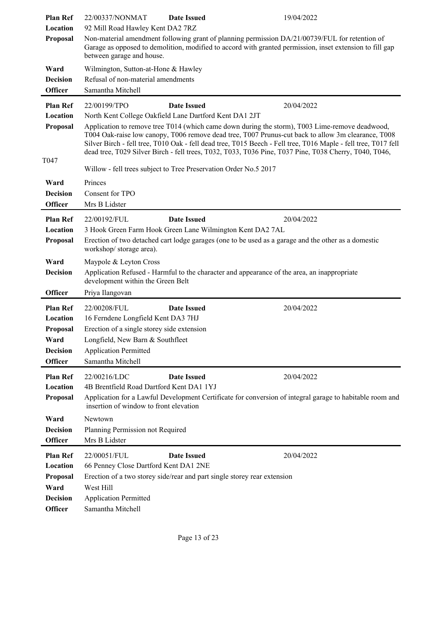| <b>Plan Ref</b>                   | 22/00337/NONMAT                                                                                                                                                                                                                         | <b>Date Issued</b> | 19/04/2022                                                                                                     |
|-----------------------------------|-----------------------------------------------------------------------------------------------------------------------------------------------------------------------------------------------------------------------------------------|--------------------|----------------------------------------------------------------------------------------------------------------|
| Location                          | 92 Mill Road Hawley Kent DA2 7RZ                                                                                                                                                                                                        |                    |                                                                                                                |
| Proposal                          | Non-material amendment following grant of planning permission DA/21/00739/FUL for retention of<br>Garage as opposed to demolition, modified to accord with granted permission, inset extension to fill gap<br>between garage and house. |                    |                                                                                                                |
| Ward                              | Wilmington, Sutton-at-Hone & Hawley                                                                                                                                                                                                     |                    |                                                                                                                |
| <b>Decision</b>                   | Refusal of non-material amendments                                                                                                                                                                                                      |                    |                                                                                                                |
| <b>Officer</b>                    | Samantha Mitchell                                                                                                                                                                                                                       |                    |                                                                                                                |
| <b>Plan Ref</b>                   | 22/00199/TPO                                                                                                                                                                                                                            | <b>Date Issued</b> | 20/04/2022                                                                                                     |
| Location                          | North Kent College Oakfield Lane Dartford Kent DA1 2JT                                                                                                                                                                                  |                    |                                                                                                                |
| Proposal                          |                                                                                                                                                                                                                                         |                    | Application to remove tree T014 (which came down during the storm), T003 Lime-remove deadwood,                 |
|                                   |                                                                                                                                                                                                                                         |                    | T004 Oak-raise low canopy, T006 remove dead tree, T007 Prunus-cut back to allow 3m clearance, T008             |
|                                   |                                                                                                                                                                                                                                         |                    | Silver Birch - fell tree, T010 Oak - fell dead tree, T015 Beech - Fell tree, T016 Maple - fell tree, T017 fell |
|                                   |                                                                                                                                                                                                                                         |                    | dead tree, T029 Silver Birch - fell trees, T032, T033, T036 Pine, T037 Pine, T038 Cherry, T040, T046,          |
| T <sub>047</sub>                  | Willow - fell trees subject to Tree Preservation Order No.5 2017                                                                                                                                                                        |                    |                                                                                                                |
| Ward                              | Princes                                                                                                                                                                                                                                 |                    |                                                                                                                |
| <b>Decision</b>                   | Consent for TPO                                                                                                                                                                                                                         |                    |                                                                                                                |
| <b>Officer</b>                    | Mrs B Lidster                                                                                                                                                                                                                           |                    |                                                                                                                |
| <b>Plan Ref</b>                   | 22/00192/FUL                                                                                                                                                                                                                            | <b>Date Issued</b> | 20/04/2022                                                                                                     |
| Location                          | 3 Hook Green Farm Hook Green Lane Wilmington Kent DA2 7AL                                                                                                                                                                               |                    |                                                                                                                |
| Proposal                          |                                                                                                                                                                                                                                         |                    |                                                                                                                |
|                                   | Erection of two detached cart lodge garages (one to be used as a garage and the other as a domestic<br>workshop/storage area).                                                                                                          |                    |                                                                                                                |
| Ward                              | Maypole & Leyton Cross                                                                                                                                                                                                                  |                    |                                                                                                                |
| <b>Decision</b>                   | Application Refused - Harmful to the character and appearance of the area, an inappropriate<br>development within the Green Belt                                                                                                        |                    |                                                                                                                |
| <b>Officer</b>                    | Priya Ilangovan                                                                                                                                                                                                                         |                    |                                                                                                                |
| <b>Plan Ref</b>                   | 22/00208/FUL                                                                                                                                                                                                                            | <b>Date Issued</b> | 20/04/2022                                                                                                     |
| Location                          | 16 Ferndene Longfield Kent DA3 7HJ                                                                                                                                                                                                      |                    |                                                                                                                |
| Proposal                          | Erection of a single storey side extension                                                                                                                                                                                              |                    |                                                                                                                |
| Ward                              | Longfield, New Barn & Southfleet                                                                                                                                                                                                        |                    |                                                                                                                |
| <b>Decision</b>                   | <b>Application Permitted</b>                                                                                                                                                                                                            |                    |                                                                                                                |
| <b>Officer</b>                    | Samantha Mitchell                                                                                                                                                                                                                       |                    |                                                                                                                |
| <b>Plan Ref</b>                   | 22/00216/LDC                                                                                                                                                                                                                            | <b>Date Issued</b> | 20/04/2022                                                                                                     |
| Location                          | 4B Brentfield Road Dartford Kent DA1 1YJ                                                                                                                                                                                                |                    |                                                                                                                |
| Proposal                          | insertion of window to front elevation                                                                                                                                                                                                  |                    | Application for a Lawful Development Certificate for conversion of integral garage to habitable room and       |
| Ward                              | Newtown                                                                                                                                                                                                                                 |                    |                                                                                                                |
| <b>Decision</b>                   | Planning Permission not Required                                                                                                                                                                                                        |                    |                                                                                                                |
| Officer                           | Mrs B Lidster                                                                                                                                                                                                                           |                    |                                                                                                                |
|                                   |                                                                                                                                                                                                                                         |                    |                                                                                                                |
| <b>Plan Ref</b>                   | 22/00051/FUL                                                                                                                                                                                                                            | <b>Date Issued</b> | 20/04/2022                                                                                                     |
| Location                          |                                                                                                                                                                                                                                         |                    |                                                                                                                |
|                                   | 66 Penney Close Dartford Kent DA1 2NE                                                                                                                                                                                                   |                    |                                                                                                                |
| Proposal                          | Erection of a two storey side/rear and part single storey rear extension                                                                                                                                                                |                    |                                                                                                                |
| Ward                              | West Hill                                                                                                                                                                                                                               |                    |                                                                                                                |
| <b>Decision</b><br><b>Officer</b> | <b>Application Permitted</b><br>Samantha Mitchell                                                                                                                                                                                       |                    |                                                                                                                |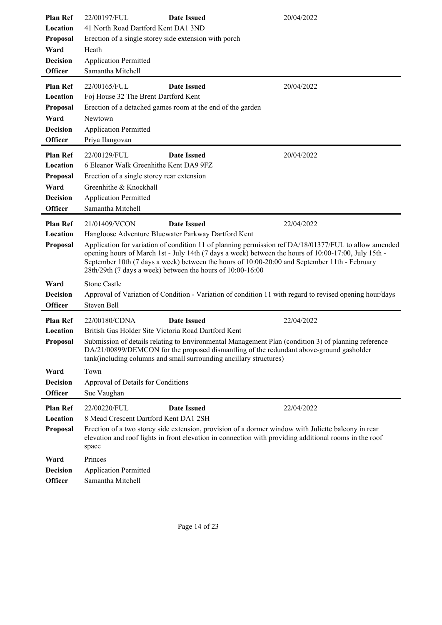| <b>Plan Ref</b> | 22/00197/FUL                                               | <b>Date Issued</b>                                                                                                                                            | 20/04/2022                                                                                                                                                                                                    |
|-----------------|------------------------------------------------------------|---------------------------------------------------------------------------------------------------------------------------------------------------------------|---------------------------------------------------------------------------------------------------------------------------------------------------------------------------------------------------------------|
| Location        | 41 North Road Dartford Kent DA1 3ND                        |                                                                                                                                                               |                                                                                                                                                                                                               |
| Proposal        | Erection of a single storey side extension with porch      |                                                                                                                                                               |                                                                                                                                                                                                               |
| Ward            | Heath                                                      |                                                                                                                                                               |                                                                                                                                                                                                               |
| <b>Decision</b> | <b>Application Permitted</b>                               |                                                                                                                                                               |                                                                                                                                                                                                               |
| <b>Officer</b>  | Samantha Mitchell                                          |                                                                                                                                                               |                                                                                                                                                                                                               |
|                 |                                                            |                                                                                                                                                               |                                                                                                                                                                                                               |
| <b>Plan Ref</b> | 22/00165/FUL                                               | <b>Date Issued</b>                                                                                                                                            | 20/04/2022                                                                                                                                                                                                    |
| Location        | Foj House 32 The Brent Dartford Kent                       |                                                                                                                                                               |                                                                                                                                                                                                               |
| Proposal        | Erection of a detached games room at the end of the garden |                                                                                                                                                               |                                                                                                                                                                                                               |
| Ward            | Newtown                                                    |                                                                                                                                                               |                                                                                                                                                                                                               |
| <b>Decision</b> | <b>Application Permitted</b>                               |                                                                                                                                                               |                                                                                                                                                                                                               |
| <b>Officer</b>  | Priya Ilangovan                                            |                                                                                                                                                               |                                                                                                                                                                                                               |
|                 |                                                            |                                                                                                                                                               |                                                                                                                                                                                                               |
| <b>Plan Ref</b> | 22/00129/FUL                                               | <b>Date Issued</b>                                                                                                                                            | 20/04/2022                                                                                                                                                                                                    |
| Location        | 6 Eleanor Walk Greenhithe Kent DA9 9FZ                     |                                                                                                                                                               |                                                                                                                                                                                                               |
| Proposal        | Erection of a single storey rear extension                 |                                                                                                                                                               |                                                                                                                                                                                                               |
| Ward            | Greenhithe & Knockhall                                     |                                                                                                                                                               |                                                                                                                                                                                                               |
| <b>Decision</b> | <b>Application Permitted</b>                               |                                                                                                                                                               |                                                                                                                                                                                                               |
| <b>Officer</b>  | Samantha Mitchell                                          |                                                                                                                                                               |                                                                                                                                                                                                               |
| <b>Plan Ref</b> | 21/01409/VCON                                              | <b>Date Issued</b>                                                                                                                                            | 22/04/2022                                                                                                                                                                                                    |
|                 |                                                            |                                                                                                                                                               |                                                                                                                                                                                                               |
| Location        | Hangloose Adventure Bluewater Parkway Dartford Kent        |                                                                                                                                                               |                                                                                                                                                                                                               |
| Proposal        | 28th/29th (7 days a week) between the hours of 10:00-16:00 | September 10th (7 days a week) between the hours of 10:00-20:00 and September 11th - February                                                                 | Application for variation of condition 11 of planning permission ref DA/18/01377/FUL to allow amended<br>opening hours of March 1st - July 14th (7 days a week) between the hours of 10:00-17:00, July 15th - |
| Ward            | <b>Stone Castle</b>                                        |                                                                                                                                                               |                                                                                                                                                                                                               |
| <b>Decision</b> |                                                            |                                                                                                                                                               | Approval of Variation of Condition - Variation of condition 11 with regard to revised opening hour/days                                                                                                       |
| <b>Officer</b>  | Steven Bell                                                |                                                                                                                                                               |                                                                                                                                                                                                               |
|                 | 22/00180/CDNA                                              |                                                                                                                                                               |                                                                                                                                                                                                               |
| <b>Plan Ref</b> |                                                            | <b>Date Issued</b>                                                                                                                                            | 22/04/2022                                                                                                                                                                                                    |
| Location        | British Gas Holder Site Victoria Road Dartford Kent        |                                                                                                                                                               |                                                                                                                                                                                                               |
| <b>Proposal</b> |                                                            | DA/21/00899/DEMCON for the proposed dismantling of the redundant above-ground gasholder<br>tank(including columns and small surrounding ancillary structures) | Submission of details relating to Environmental Management Plan (condition 3) of planning reference                                                                                                           |
| Ward            | Town                                                       |                                                                                                                                                               |                                                                                                                                                                                                               |
| <b>Decision</b> | Approval of Details for Conditions                         |                                                                                                                                                               |                                                                                                                                                                                                               |
| <b>Officer</b>  | Sue Vaughan                                                |                                                                                                                                                               |                                                                                                                                                                                                               |
| <b>Plan Ref</b> | 22/00220/FUL                                               | <b>Date Issued</b>                                                                                                                                            | 22/04/2022                                                                                                                                                                                                    |
| Location        | 8 Mead Crescent Dartford Kent DA1 2SH                      |                                                                                                                                                               |                                                                                                                                                                                                               |
|                 |                                                            |                                                                                                                                                               |                                                                                                                                                                                                               |
| Proposal        | space                                                      | Erection of a two storey side extension, provision of a dormer window with Juliette balcony in rear                                                           | elevation and roof lights in front elevation in connection with providing additional rooms in the roof                                                                                                        |
| Ward            | Princes                                                    |                                                                                                                                                               |                                                                                                                                                                                                               |
| <b>Decision</b> | <b>Application Permitted</b>                               |                                                                                                                                                               |                                                                                                                                                                                                               |
| <b>Officer</b>  | Samantha Mitchell                                          |                                                                                                                                                               |                                                                                                                                                                                                               |
|                 |                                                            |                                                                                                                                                               |                                                                                                                                                                                                               |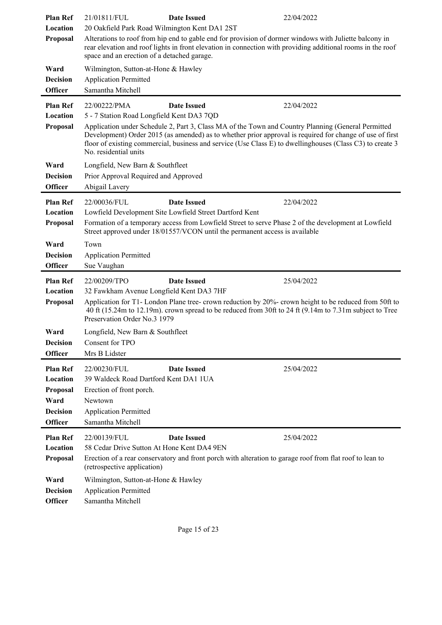| <b>Plan Ref</b>                                                                      | 21/01811/FUL                                                                                                                                      | <b>Date Issued</b>                                                                                                                                                                  | 22/04/2022                                                                                                                                                                                                                          |
|--------------------------------------------------------------------------------------|---------------------------------------------------------------------------------------------------------------------------------------------------|-------------------------------------------------------------------------------------------------------------------------------------------------------------------------------------|-------------------------------------------------------------------------------------------------------------------------------------------------------------------------------------------------------------------------------------|
| Location                                                                             | 20 Oakfield Park Road Wilmington Kent DA1 2ST                                                                                                     |                                                                                                                                                                                     |                                                                                                                                                                                                                                     |
| Proposal                                                                             | space and an erection of a detached garage.                                                                                                       | Alterations to roof from hip end to gable end for provision of dormer windows with Juliette balcony in                                                                              | rear elevation and roof lights in front elevation in connection with providing additional rooms in the roof                                                                                                                         |
| Ward                                                                                 | Wilmington, Sutton-at-Hone & Hawley                                                                                                               |                                                                                                                                                                                     |                                                                                                                                                                                                                                     |
| <b>Decision</b>                                                                      | <b>Application Permitted</b>                                                                                                                      |                                                                                                                                                                                     |                                                                                                                                                                                                                                     |
| <b>Officer</b>                                                                       | Samantha Mitchell                                                                                                                                 |                                                                                                                                                                                     |                                                                                                                                                                                                                                     |
| <b>Plan Ref</b><br>Location<br>Proposal                                              | 22/00222/PMA<br>5 - 7 Station Road Longfield Kent DA3 7QD<br>No. residential units                                                                | <b>Date Issued</b><br>Application under Schedule 2, Part 3, Class MA of the Town and Country Planning (General Permitted                                                            | 22/04/2022<br>Development) Order 2015 (as amended) as to whether prior approval is required for change of use of first<br>floor of existing commercial, business and service (Use Class E) to dwellinghouses (Class C3) to create 3 |
|                                                                                      |                                                                                                                                                   |                                                                                                                                                                                     |                                                                                                                                                                                                                                     |
| Ward                                                                                 | Longfield, New Barn & Southfleet                                                                                                                  |                                                                                                                                                                                     |                                                                                                                                                                                                                                     |
| <b>Decision</b>                                                                      | Prior Approval Required and Approved                                                                                                              |                                                                                                                                                                                     |                                                                                                                                                                                                                                     |
| <b>Officer</b>                                                                       | Abigail Lavery                                                                                                                                    |                                                                                                                                                                                     |                                                                                                                                                                                                                                     |
| <b>Plan Ref</b>                                                                      | 22/00036/FUL                                                                                                                                      | <b>Date Issued</b>                                                                                                                                                                  | 22/04/2022                                                                                                                                                                                                                          |
| Location                                                                             |                                                                                                                                                   | Lowfield Development Site Lowfield Street Dartford Kent                                                                                                                             |                                                                                                                                                                                                                                     |
| Proposal                                                                             |                                                                                                                                                   | Formation of a temporary access from Lowfield Street to serve Phase 2 of the development at Lowfield<br>Street approved under 18/01557/VCON until the permanent access is available |                                                                                                                                                                                                                                     |
| Ward                                                                                 | Town                                                                                                                                              |                                                                                                                                                                                     |                                                                                                                                                                                                                                     |
| <b>Decision</b>                                                                      | <b>Application Permitted</b>                                                                                                                      |                                                                                                                                                                                     |                                                                                                                                                                                                                                     |
| <b>Officer</b>                                                                       | Sue Vaughan                                                                                                                                       |                                                                                                                                                                                     |                                                                                                                                                                                                                                     |
| <b>Plan Ref</b><br>Location<br>Proposal                                              | 22/00209/TPO<br>32 Fawkham Avenue Longfield Kent DA3 7HF<br>Preservation Order No.3 1979                                                          | <b>Date Issued</b>                                                                                                                                                                  | 25/04/2022<br>Application for T1- London Plane tree- crown reduction by 20%- crown height to be reduced from 50ft to<br>40 ft (15.24m to 12.19m). crown spread to be reduced from 30ft to 24 ft (9.14m to 7.31m subject to Tree     |
| Ward                                                                                 | Longfield, New Barn & Southfleet                                                                                                                  |                                                                                                                                                                                     |                                                                                                                                                                                                                                     |
| <b>Decision</b>                                                                      | Consent for TPO                                                                                                                                   |                                                                                                                                                                                     |                                                                                                                                                                                                                                     |
| <b>Officer</b>                                                                       | Mrs B Lidster                                                                                                                                     |                                                                                                                                                                                     |                                                                                                                                                                                                                                     |
| <b>Plan Ref</b><br>Location<br>Proposal<br>Ward<br><b>Decision</b><br><b>Officer</b> | 22/00230/FUL<br>39 Waldeck Road Dartford Kent DA1 1UA<br>Erection of front porch.<br>Newtown<br><b>Application Permitted</b><br>Samantha Mitchell | <b>Date Issued</b>                                                                                                                                                                  | 25/04/2022                                                                                                                                                                                                                          |
| <b>Plan Ref</b>                                                                      | 22/00139/FUL                                                                                                                                      | <b>Date Issued</b>                                                                                                                                                                  | 25/04/2022                                                                                                                                                                                                                          |
| Location                                                                             | 58 Cedar Drive Sutton At Hone Kent DA4 9EN                                                                                                        |                                                                                                                                                                                     |                                                                                                                                                                                                                                     |
| Proposal                                                                             | (retrospective application)                                                                                                                       | Erection of a rear conservatory and front porch with alteration to garage roof from flat roof to lean to                                                                            |                                                                                                                                                                                                                                     |
| Ward                                                                                 | Wilmington, Sutton-at-Hone & Hawley                                                                                                               |                                                                                                                                                                                     |                                                                                                                                                                                                                                     |
| <b>Decision</b>                                                                      | <b>Application Permitted</b>                                                                                                                      |                                                                                                                                                                                     |                                                                                                                                                                                                                                     |
| <b>Officer</b>                                                                       | Samantha Mitchell                                                                                                                                 |                                                                                                                                                                                     |                                                                                                                                                                                                                                     |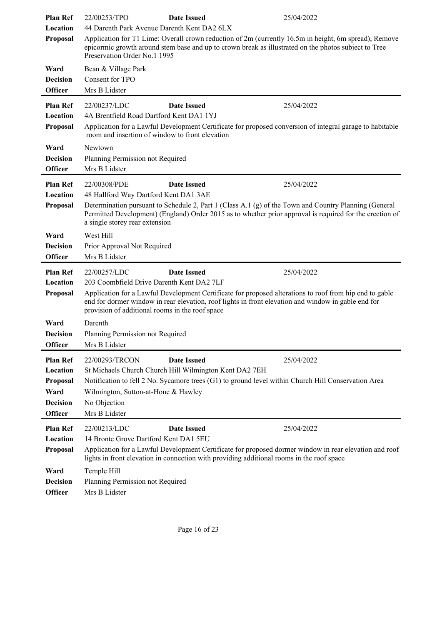| <b>Plan Ref</b>             | 22/00253/TPO                                    | <b>Date Issued</b>                                                                        | 25/04/2022                                                                                                                                                                                                        |
|-----------------------------|-------------------------------------------------|-------------------------------------------------------------------------------------------|-------------------------------------------------------------------------------------------------------------------------------------------------------------------------------------------------------------------|
| Location                    |                                                 | 44 Darenth Park Avenue Darenth Kent DA2 6LX                                               |                                                                                                                                                                                                                   |
| Proposal                    | Preservation Order No.1 1995                    |                                                                                           | Application for T1 Lime: Overall crown reduction of 2m (currently 16.5m in height, 6m spread), Remove<br>epicormic growth around stem base and up to crown break as illustrated on the photos subject to Tree     |
| Ward                        | Bean & Village Park                             |                                                                                           |                                                                                                                                                                                                                   |
| <b>Decision</b>             | Consent for TPO                                 |                                                                                           |                                                                                                                                                                                                                   |
| <b>Officer</b>              | Mrs B Lidster                                   |                                                                                           |                                                                                                                                                                                                                   |
| <b>Plan Ref</b>             | 22/00237/LDC                                    | <b>Date Issued</b>                                                                        | 25/04/2022                                                                                                                                                                                                        |
| Location                    | 4A Brentfield Road Dartford Kent DA1 1YJ        |                                                                                           |                                                                                                                                                                                                                   |
| Proposal                    | room and insertion of window to front elevation |                                                                                           | Application for a Lawful Development Certificate for proposed conversion of integral garage to habitable                                                                                                          |
| Ward                        | Newtown                                         |                                                                                           |                                                                                                                                                                                                                   |
| <b>Decision</b>             | Planning Permission not Required                |                                                                                           |                                                                                                                                                                                                                   |
| <b>Officer</b>              | Mrs B Lidster                                   |                                                                                           |                                                                                                                                                                                                                   |
| <b>Plan Ref</b>             | 22/00308/PDE                                    | <b>Date Issued</b>                                                                        | 25/04/2022                                                                                                                                                                                                        |
| Location                    | 48 Hallford Way Dartford Kent DA1 3AE           |                                                                                           |                                                                                                                                                                                                                   |
| Proposal                    | a single storey rear extension                  |                                                                                           | Determination pursuant to Schedule 2, Part 1 (Class A.1 (g) of the Town and Country Planning (General<br>Permitted Development) (England) Order 2015 as to whether prior approval is required for the erection of |
| Ward                        | West Hill                                       |                                                                                           |                                                                                                                                                                                                                   |
| <b>Decision</b>             | Prior Approval Not Required                     |                                                                                           |                                                                                                                                                                                                                   |
|                             |                                                 |                                                                                           |                                                                                                                                                                                                                   |
| <b>Officer</b>              | Mrs B Lidster                                   |                                                                                           |                                                                                                                                                                                                                   |
| <b>Plan Ref</b>             | 22/00257/LDC                                    | <b>Date Issued</b>                                                                        | 25/04/2022                                                                                                                                                                                                        |
| Location                    | 203 Coombfield Drive Darenth Kent DA2 7LF       |                                                                                           |                                                                                                                                                                                                                   |
| Proposal                    | provision of additional rooms in the roof space |                                                                                           | Application for a Lawful Development Certificate for proposed alterations to roof from hip end to gable<br>end for dormer window in rear elevation, roof lights in front elevation and window in gable end for    |
| Ward                        | Darenth                                         |                                                                                           |                                                                                                                                                                                                                   |
| <b>Decision</b>             | Planning Permission not Required                |                                                                                           |                                                                                                                                                                                                                   |
| Officer                     | Mrs B Lidster                                   |                                                                                           |                                                                                                                                                                                                                   |
| <b>Plan Ref</b>             | 22/00293/TRCON                                  | <b>Date Issued</b>                                                                        | 25/04/2022                                                                                                                                                                                                        |
| Location                    |                                                 | St Michaels Church Church Hill Wilmington Kent DA2 7EH                                    |                                                                                                                                                                                                                   |
| Proposal                    |                                                 |                                                                                           | Notification to fell 2 No. Sycamore trees (G1) to ground level within Church Hill Conservation Area                                                                                                               |
| Ward                        | Wilmington, Sutton-at-Hone & Hawley             |                                                                                           |                                                                                                                                                                                                                   |
| <b>Decision</b>             | No Objection                                    |                                                                                           |                                                                                                                                                                                                                   |
| <b>Officer</b>              | Mrs B Lidster                                   |                                                                                           |                                                                                                                                                                                                                   |
|                             | 22/00213/LDC                                    | <b>Date Issued</b>                                                                        | 25/04/2022                                                                                                                                                                                                        |
| <b>Plan Ref</b><br>Location | 14 Bronte Grove Dartford Kent DA1 5EU           |                                                                                           |                                                                                                                                                                                                                   |
| Proposal                    |                                                 | lights in front elevation in connection with providing additional rooms in the roof space | Application for a Lawful Development Certificate for proposed dormer window in rear elevation and roof                                                                                                            |
| Ward                        | Temple Hill                                     |                                                                                           |                                                                                                                                                                                                                   |
| <b>Decision</b>             | Planning Permission not Required                |                                                                                           |                                                                                                                                                                                                                   |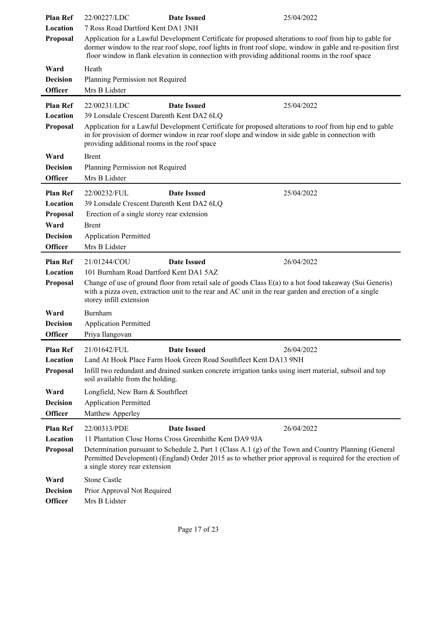| <b>Plan Ref</b><br>Location<br>Proposal                                       | 22/00227/LDC<br>7 Ross Road Dartford Kent DA1 3NH                                    | <b>Date Issued</b>                                                                                              | 25/04/2022<br>Application for a Lawful Development Certificate for proposed alterations to roof from hip to gable for<br>dormer window to the rear roof slope, roof lights in front roof slope, window in gable and re-position first<br>floor window in flank elevation in connection with providing additional rooms in the roof space |
|-------------------------------------------------------------------------------|--------------------------------------------------------------------------------------|-----------------------------------------------------------------------------------------------------------------|------------------------------------------------------------------------------------------------------------------------------------------------------------------------------------------------------------------------------------------------------------------------------------------------------------------------------------------|
| Ward<br><b>Decision</b><br>Officer                                            | Heath<br>Planning Permission not Required<br>Mrs B Lidster                           |                                                                                                                 |                                                                                                                                                                                                                                                                                                                                          |
| <b>Plan Ref</b><br>Location<br>Proposal                                       | 22/00231/LDC                                                                         | <b>Date Issued</b><br>39 Lonsdale Crescent Darenth Kent DA2 6LQ<br>providing additional rooms in the roof space | 25/04/2022<br>Application for a Lawful Development Certificate for proposed alterations to roof from hip end to gable<br>in for provision of dormer window in rear roof slope and window in side gable in connection with                                                                                                                |
| Ward<br><b>Decision</b><br>Officer                                            | <b>Brent</b><br>Planning Permission not Required<br>Mrs B Lidster                    |                                                                                                                 |                                                                                                                                                                                                                                                                                                                                          |
| <b>Plan Ref</b><br>Location<br>Proposal<br>Ward<br><b>Decision</b><br>Officer | 22/00232/FUL<br>Brent<br><b>Application Permitted</b><br>Mrs B Lidster               | <b>Date Issued</b><br>39 Lonsdale Crescent Darenth Kent DA2 6LQ<br>Erection of a single storey rear extension   | 25/04/2022                                                                                                                                                                                                                                                                                                                               |
| <b>Plan Ref</b><br>Location<br><b>Proposal</b>                                | 21/01244/COU<br>storey infill extension                                              | <b>Date Issued</b><br>101 Burnham Road Dartford Kent DA1 5AZ                                                    | 26/04/2022<br>Change of use of ground floor from retail sale of goods Class E(a) to a hot food takeaway (Sui Generis)<br>with a pizza oven, extraction unit to the rear and AC unit in the rear garden and erection of a single                                                                                                          |
| Ward<br><b>Decision</b><br><b>Officer</b>                                     | Burnham<br><b>Application Permitted</b><br>Priya Ilangovan                           |                                                                                                                 |                                                                                                                                                                                                                                                                                                                                          |
| <b>Plan Ref</b><br>Location<br>Proposal                                       | 21/01642/FUL<br>soil available from the holding.                                     | <b>Date Issued</b><br>Land At Hook Place Farm Hook Green Road Southfleet Kent DA13 9NH                          | 26/04/2022<br>Infill two redundant and drained sunken concrete irrigation tanks using inert material, subsoil and top                                                                                                                                                                                                                    |
| Ward<br><b>Decision</b><br><b>Officer</b>                                     | Longfield, New Barn & Southfleet<br><b>Application Permitted</b><br>Matthew Apperley |                                                                                                                 |                                                                                                                                                                                                                                                                                                                                          |
| <b>Plan Ref</b><br>Location<br>Proposal                                       | 22/00313/PDE<br>a single storey rear extension                                       | <b>Date Issued</b><br>11 Plantation Close Horns Cross Greenhithe Kent DA9 9JA                                   | 26/04/2022<br>Determination pursuant to Schedule 2, Part 1 (Class A.1 (g) of the Town and Country Planning (General<br>Permitted Development) (England) Order 2015 as to whether prior approval is required for the erection of                                                                                                          |
| Ward<br><b>Decision</b><br>Officer                                            | <b>Stone Castle</b><br>Prior Approval Not Required<br>Mrs B Lidster                  |                                                                                                                 |                                                                                                                                                                                                                                                                                                                                          |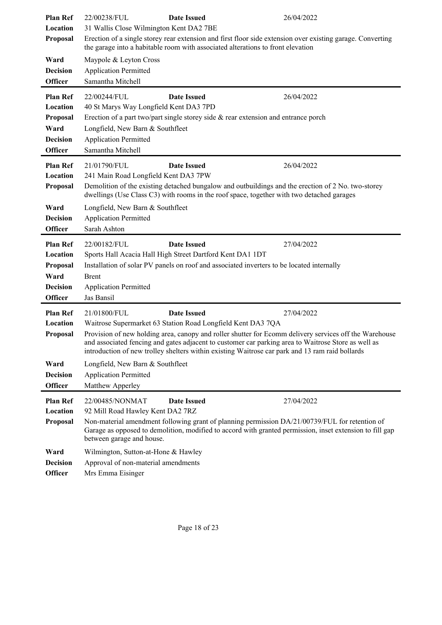| <b>Plan Ref</b>                   | 22/00238/FUL<br><b>Date Issued</b>                                                                                                    | 26/04/2022                                                                                                 |  |
|-----------------------------------|---------------------------------------------------------------------------------------------------------------------------------------|------------------------------------------------------------------------------------------------------------|--|
| Location                          | 31 Wallis Close Wilmington Kent DA2 7BE                                                                                               |                                                                                                            |  |
| Proposal                          | the garage into a habitable room with associated alterations to front elevation                                                       | Erection of a single storey rear extension and first floor side extension over existing garage. Converting |  |
| Ward                              | Maypole & Leyton Cross                                                                                                                |                                                                                                            |  |
| <b>Decision</b>                   | <b>Application Permitted</b>                                                                                                          |                                                                                                            |  |
| <b>Officer</b>                    | Samantha Mitchell                                                                                                                     |                                                                                                            |  |
| <b>Plan Ref</b>                   | 22/00244/FUL<br><b>Date Issued</b>                                                                                                    | 26/04/2022                                                                                                 |  |
| Location                          | 40 St Marys Way Longfield Kent DA3 7PD                                                                                                |                                                                                                            |  |
| Proposal                          | Erection of a part two/part single storey side $\&$ rear extension and entrance porch                                                 |                                                                                                            |  |
| Ward                              | Longfield, New Barn & Southfleet                                                                                                      |                                                                                                            |  |
| <b>Decision</b>                   | <b>Application Permitted</b>                                                                                                          |                                                                                                            |  |
| <b>Officer</b>                    | Samantha Mitchell                                                                                                                     |                                                                                                            |  |
| <b>Plan Ref</b>                   | <b>Date Issued</b><br>21/01790/FUL                                                                                                    | 26/04/2022                                                                                                 |  |
| Location                          | 241 Main Road Longfield Kent DA3 7PW                                                                                                  |                                                                                                            |  |
| <b>Proposal</b>                   |                                                                                                                                       | Demolition of the existing detached bungalow and outbuildings and the erection of 2 No. two-storey         |  |
|                                   | dwellings (Use Class C3) with rooms in the roof space, together with two detached garages                                             |                                                                                                            |  |
| Ward                              | Longfield, New Barn & Southfleet                                                                                                      |                                                                                                            |  |
| <b>Decision</b>                   | <b>Application Permitted</b>                                                                                                          |                                                                                                            |  |
| <b>Officer</b>                    | Sarah Ashton                                                                                                                          |                                                                                                            |  |
| <b>Plan Ref</b>                   | 22/00182/FUL<br><b>Date Issued</b>                                                                                                    | 27/04/2022                                                                                                 |  |
| Location                          | Sports Hall Acacia Hall High Street Dartford Kent DA1 1DT                                                                             |                                                                                                            |  |
| Proposal                          | Installation of solar PV panels on roof and associated inverters to be located internally                                             |                                                                                                            |  |
| Ward                              | Brent                                                                                                                                 |                                                                                                            |  |
| <b>Decision</b>                   | <b>Application Permitted</b>                                                                                                          |                                                                                                            |  |
| <b>Officer</b>                    | Jas Bansil                                                                                                                            |                                                                                                            |  |
| <b>Plan Ref</b>                   | 21/01800/FUL<br><b>Date Issued</b>                                                                                                    | 27/04/2022                                                                                                 |  |
| Location                          | Waitrose Supermarket 63 Station Road Longfield Kent DA3 7QA                                                                           |                                                                                                            |  |
| Proposal                          |                                                                                                                                       | Provision of new holding area, canopy and roller shutter for Ecomm delivery services off the Warehouse     |  |
|                                   | introduction of new trolley shelters within existing Waitrose car park and 13 ram raid bollards                                       | and associated fencing and gates adjacent to customer car parking area to Waitrose Store as well as        |  |
|                                   |                                                                                                                                       |                                                                                                            |  |
| Ward                              | Longfield, New Barn & Southfleet                                                                                                      |                                                                                                            |  |
| <b>Decision</b><br><b>Officer</b> | <b>Application Permitted</b>                                                                                                          |                                                                                                            |  |
|                                   | Matthew Apperley                                                                                                                      |                                                                                                            |  |
| <b>Plan Ref</b>                   | 22/00485/NONMAT<br><b>Date Issued</b>                                                                                                 | 27/04/2022                                                                                                 |  |
| Location                          | 92 Mill Road Hawley Kent DA2 7RZ                                                                                                      |                                                                                                            |  |
| Proposal                          |                                                                                                                                       | Non-material amendment following grant of planning permission DA/21/00739/FUL for retention of             |  |
|                                   |                                                                                                                                       |                                                                                                            |  |
|                                   | Garage as opposed to demolition, modified to accord with granted permission, inset extension to fill gap<br>between garage and house. |                                                                                                            |  |
|                                   |                                                                                                                                       |                                                                                                            |  |
| Ward<br><b>Decision</b>           | Wilmington, Sutton-at-Hone & Hawley<br>Approval of non-material amendments                                                            |                                                                                                            |  |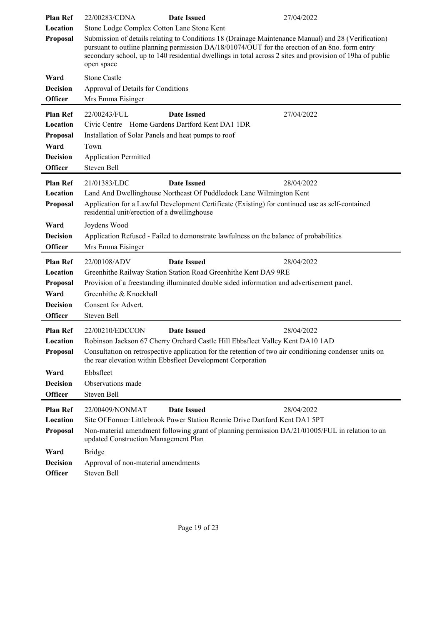| <b>Plan Ref</b><br>Location<br>Proposal<br>Ward | 22/00283/CDNA<br><b>Date Issued</b><br>Stone Lodge Complex Cotton Lane Stone Kent<br>Submission of details relating to Conditions 18 (Drainage Maintenance Manual) and 28 (Verification)<br>pursuant to outline planning permission DA/18/01074/OUT for the erection of an 8no. form entry<br>secondary school, up to 140 residential dwellings in total across 2 sites and provision of 19ha of public<br>open space<br><b>Stone Castle</b> | 27/04/2022 |
|-------------------------------------------------|----------------------------------------------------------------------------------------------------------------------------------------------------------------------------------------------------------------------------------------------------------------------------------------------------------------------------------------------------------------------------------------------------------------------------------------------|------------|
| <b>Decision</b><br><b>Officer</b>               | Approval of Details for Conditions<br>Mrs Emma Eisinger                                                                                                                                                                                                                                                                                                                                                                                      |            |
|                                                 |                                                                                                                                                                                                                                                                                                                                                                                                                                              |            |
| <b>Plan Ref</b><br>Location                     | 22/00243/FUL<br><b>Date Issued</b><br>Civic Centre Home Gardens Dartford Kent DA1 1DR                                                                                                                                                                                                                                                                                                                                                        | 27/04/2022 |
| Proposal                                        | Installation of Solar Panels and heat pumps to roof                                                                                                                                                                                                                                                                                                                                                                                          |            |
| Ward                                            | Town                                                                                                                                                                                                                                                                                                                                                                                                                                         |            |
| <b>Decision</b>                                 | <b>Application Permitted</b>                                                                                                                                                                                                                                                                                                                                                                                                                 |            |
| <b>Officer</b>                                  | Steven Bell                                                                                                                                                                                                                                                                                                                                                                                                                                  |            |
| <b>Plan Ref</b>                                 | 21/01383/LDC<br><b>Date Issued</b>                                                                                                                                                                                                                                                                                                                                                                                                           | 28/04/2022 |
| Location                                        | Land And Dwellinghouse Northeast Of Puddledock Lane Wilmington Kent                                                                                                                                                                                                                                                                                                                                                                          |            |
| Proposal                                        | Application for a Lawful Development Certificate (Existing) for continued use as self-contained<br>residential unit/erection of a dwellinghouse                                                                                                                                                                                                                                                                                              |            |
| Ward                                            | Joydens Wood                                                                                                                                                                                                                                                                                                                                                                                                                                 |            |
| <b>Decision</b>                                 | Application Refused - Failed to demonstrate lawfulness on the balance of probabilities                                                                                                                                                                                                                                                                                                                                                       |            |
| <b>Officer</b>                                  | Mrs Emma Eisinger                                                                                                                                                                                                                                                                                                                                                                                                                            |            |
| <b>Plan Ref</b>                                 | 22/00108/ADV<br><b>Date Issued</b>                                                                                                                                                                                                                                                                                                                                                                                                           | 28/04/2022 |
|                                                 | Greenhithe Railway Station Station Road Greenhithe Kent DA9 9RE                                                                                                                                                                                                                                                                                                                                                                              |            |
| Location                                        |                                                                                                                                                                                                                                                                                                                                                                                                                                              |            |
| Proposal                                        | Provision of a freestanding illuminated double sided information and advertisement panel.                                                                                                                                                                                                                                                                                                                                                    |            |
| Ward                                            | Greenhithe & Knockhall                                                                                                                                                                                                                                                                                                                                                                                                                       |            |
| <b>Decision</b>                                 | Consent for Advert.                                                                                                                                                                                                                                                                                                                                                                                                                          |            |
| <b>Officer</b>                                  | Steven Bell                                                                                                                                                                                                                                                                                                                                                                                                                                  |            |
| <b>Plan Ref</b>                                 | <b>Date Issued</b><br>22/00210/EDCCON                                                                                                                                                                                                                                                                                                                                                                                                        | 28/04/2022 |
| Location                                        | Robinson Jackson 67 Cherry Orchard Castle Hill Ebbsfleet Valley Kent DA10 1AD                                                                                                                                                                                                                                                                                                                                                                |            |
| Proposal                                        | Consultation on retrospective application for the retention of two air conditioning condenser units on<br>the rear elevation within Ebbsfleet Development Corporation                                                                                                                                                                                                                                                                        |            |
| Ward                                            | Ebbsfleet                                                                                                                                                                                                                                                                                                                                                                                                                                    |            |
| <b>Decision</b>                                 | Observations made                                                                                                                                                                                                                                                                                                                                                                                                                            |            |
| <b>Officer</b>                                  | Steven Bell                                                                                                                                                                                                                                                                                                                                                                                                                                  |            |
| <b>Plan Ref</b>                                 | <b>Date Issued</b><br>22/00409/NONMAT                                                                                                                                                                                                                                                                                                                                                                                                        | 28/04/2022 |
| Location                                        | Site Of Former Littlebrook Power Station Rennie Drive Dartford Kent DA1 5PT                                                                                                                                                                                                                                                                                                                                                                  |            |
| Proposal                                        | Non-material amendment following grant of planning permission DA/21/01005/FUL in relation to an<br>updated Construction Management Plan                                                                                                                                                                                                                                                                                                      |            |
| Ward<br><b>Decision</b>                         | <b>Bridge</b><br>Approval of non-material amendments                                                                                                                                                                                                                                                                                                                                                                                         |            |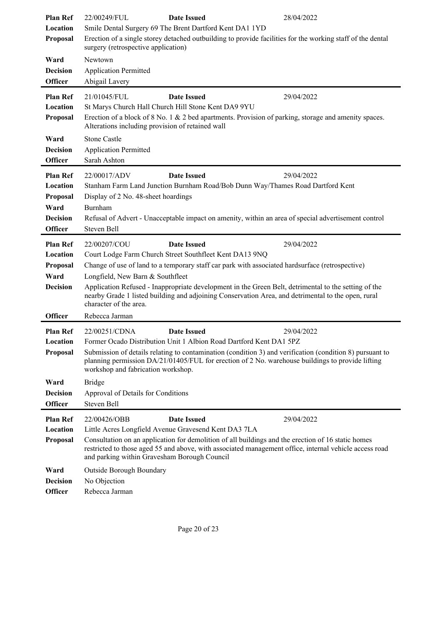| <b>Plan Ref</b> | 22/00249/FUL                                                                                                                                      | <b>Date Issued</b>                                                                                                                                                                                           | 28/04/2022 |
|-----------------|---------------------------------------------------------------------------------------------------------------------------------------------------|--------------------------------------------------------------------------------------------------------------------------------------------------------------------------------------------------------------|------------|
| Location        | Smile Dental Surgery 69 The Brent Dartford Kent DA1 1YD                                                                                           |                                                                                                                                                                                                              |            |
| Proposal        | Erection of a single storey detached outbuilding to provide facilities for the working staff of the dental<br>surgery (retrospective application) |                                                                                                                                                                                                              |            |
| Ward            | Newtown                                                                                                                                           |                                                                                                                                                                                                              |            |
| <b>Decision</b> | <b>Application Permitted</b>                                                                                                                      |                                                                                                                                                                                                              |            |
| <b>Officer</b>  | Abigail Lavery                                                                                                                                    |                                                                                                                                                                                                              |            |
| <b>Plan Ref</b> | 21/01045/FUL                                                                                                                                      | <b>Date Issued</b>                                                                                                                                                                                           | 29/04/2022 |
| Location        |                                                                                                                                                   | St Marys Church Hall Church Hill Stone Kent DA9 9YU                                                                                                                                                          |            |
| Proposal        | Alterations including provision of retained wall                                                                                                  | Erection of a block of $8$ No. 1 & 2 bed apartments. Provision of parking, storage and amenity spaces.                                                                                                       |            |
| Ward            | <b>Stone Castle</b>                                                                                                                               |                                                                                                                                                                                                              |            |
| <b>Decision</b> | <b>Application Permitted</b>                                                                                                                      |                                                                                                                                                                                                              |            |
| <b>Officer</b>  | Sarah Ashton                                                                                                                                      |                                                                                                                                                                                                              |            |
| <b>Plan Ref</b> | 22/00017/ADV                                                                                                                                      | <b>Date Issued</b>                                                                                                                                                                                           | 29/04/2022 |
| Location        |                                                                                                                                                   | Stanham Farm Land Junction Burnham Road/Bob Dunn Way/Thames Road Dartford Kent                                                                                                                               |            |
| Proposal        | Display of 2 No. 48-sheet hoardings                                                                                                               |                                                                                                                                                                                                              |            |
| Ward            | Burnham                                                                                                                                           |                                                                                                                                                                                                              |            |
| <b>Decision</b> |                                                                                                                                                   | Refusal of Advert - Unacceptable impact on amenity, within an area of special advertisement control                                                                                                          |            |
| <b>Officer</b>  | Steven Bell                                                                                                                                       |                                                                                                                                                                                                              |            |
| <b>Plan Ref</b> | 22/00207/COU                                                                                                                                      | <b>Date Issued</b>                                                                                                                                                                                           | 29/04/2022 |
| Location        |                                                                                                                                                   | Court Lodge Farm Church Street Southfleet Kent DA13 9NQ                                                                                                                                                      |            |
| Proposal        |                                                                                                                                                   | Change of use of land to a temporary staff car park with associated hardsurface (retrospective)                                                                                                              |            |
| Ward            | Longfield, New Barn & Southfleet                                                                                                                  |                                                                                                                                                                                                              |            |
| <b>Decision</b> | character of the area.                                                                                                                            | Application Refused - Inappropriate development in the Green Belt, detrimental to the setting of the<br>nearby Grade 1 listed building and adjoining Conservation Area, and detrimental to the open, rural   |            |
| <b>Officer</b>  | Rebecca Jarman                                                                                                                                    |                                                                                                                                                                                                              |            |
| <b>Plan Ref</b> | 22/00251/CDNA                                                                                                                                     | <b>Date Issued</b>                                                                                                                                                                                           | 29/04/2022 |
| Location        |                                                                                                                                                   | Former Ocado Distribution Unit 1 Albion Road Dartford Kent DA1 5PZ                                                                                                                                           |            |
| Proposal        | workshop and fabrication workshop.                                                                                                                | Submission of details relating to contamination (condition 3) and verification (condition 8) pursuant to<br>planning permission DA/21/01405/FUL for erection of 2 No. warehouse buildings to provide lifting |            |
| Ward            | <b>Bridge</b>                                                                                                                                     |                                                                                                                                                                                                              |            |
| <b>Decision</b> | Approval of Details for Conditions                                                                                                                |                                                                                                                                                                                                              |            |
| <b>Officer</b>  | Steven Bell                                                                                                                                       |                                                                                                                                                                                                              |            |
| <b>Plan Ref</b> | 22/00426/OBB                                                                                                                                      | <b>Date Issued</b>                                                                                                                                                                                           | 29/04/2022 |
| Location        |                                                                                                                                                   | Little Acres Longfield Avenue Gravesend Kent DA3 7LA                                                                                                                                                         |            |
| Proposal        | and parking within Gravesham Borough Council                                                                                                      | Consultation on an application for demolition of all buildings and the erection of 16 static homes<br>restricted to those aged 55 and above, with associated management office, internal vehicle access road |            |
| Ward            | Outside Borough Boundary                                                                                                                          |                                                                                                                                                                                                              |            |
| <b>Decision</b> | No Objection                                                                                                                                      |                                                                                                                                                                                                              |            |
| <b>Officer</b>  | Rebecca Jarman                                                                                                                                    |                                                                                                                                                                                                              |            |
|                 |                                                                                                                                                   |                                                                                                                                                                                                              |            |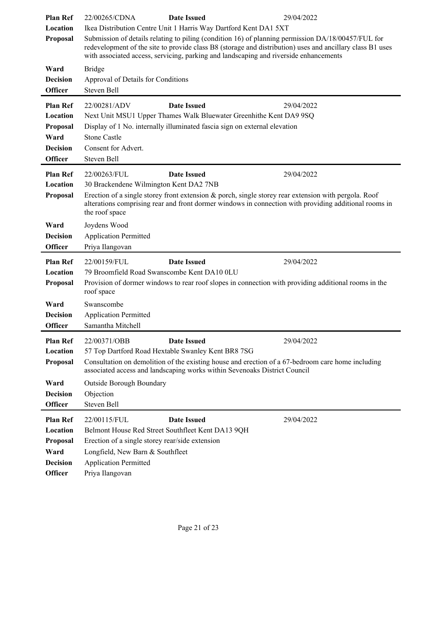| <b>Plan Ref</b><br>Location<br>Proposal<br>Ward<br><b>Decision</b><br><b>Officer</b><br><b>Plan Ref</b> | 22/00265/CDNA<br>Bridge<br>Approval of Details for Conditions<br>Steven Bell<br>22/00281/ADV | <b>Date Issued</b><br>Ikea Distribution Centre Unit 1 Harris Way Dartford Kent DA1 5XT<br>Submission of details relating to piling (condition 16) of planning permission DA/18/00457/FUL for<br>with associated access, servicing, parking and landscaping and riverside enhancements<br><b>Date Issued</b> | 29/04/2022<br>redevelopment of the site to provide class B8 (storage and distribution) uses and ancillary class B1 uses<br>29/04/2022 |
|---------------------------------------------------------------------------------------------------------|----------------------------------------------------------------------------------------------|-------------------------------------------------------------------------------------------------------------------------------------------------------------------------------------------------------------------------------------------------------------------------------------------------------------|---------------------------------------------------------------------------------------------------------------------------------------|
| Location                                                                                                |                                                                                              | Next Unit MSU1 Upper Thames Walk Bluewater Greenhithe Kent DA9 9SQ                                                                                                                                                                                                                                          |                                                                                                                                       |
| Proposal                                                                                                |                                                                                              | Display of 1 No. internally illuminated fascia sign on external elevation                                                                                                                                                                                                                                   |                                                                                                                                       |
| Ward                                                                                                    | <b>Stone Castle</b>                                                                          |                                                                                                                                                                                                                                                                                                             |                                                                                                                                       |
| <b>Decision</b>                                                                                         | Consent for Advert.                                                                          |                                                                                                                                                                                                                                                                                                             |                                                                                                                                       |
| <b>Officer</b>                                                                                          | Steven Bell                                                                                  |                                                                                                                                                                                                                                                                                                             |                                                                                                                                       |
| <b>Plan Ref</b>                                                                                         | 22/00263/FUL                                                                                 | <b>Date Issued</b>                                                                                                                                                                                                                                                                                          | 29/04/2022                                                                                                                            |
| Location<br>Proposal                                                                                    | 30 Brackendene Wilmington Kent DA2 7NB                                                       | Erection of a single storey front extension & porch, single storey rear extension with pergola. Roof                                                                                                                                                                                                        |                                                                                                                                       |
|                                                                                                         | the roof space                                                                               |                                                                                                                                                                                                                                                                                                             | alterations comprising rear and front dormer windows in connection with providing additional rooms in                                 |
| Ward                                                                                                    | Joydens Wood                                                                                 |                                                                                                                                                                                                                                                                                                             |                                                                                                                                       |
| <b>Decision</b>                                                                                         | <b>Application Permitted</b>                                                                 |                                                                                                                                                                                                                                                                                                             |                                                                                                                                       |
| <b>Officer</b>                                                                                          | Priya Ilangovan                                                                              |                                                                                                                                                                                                                                                                                                             |                                                                                                                                       |
| <b>Plan Ref</b>                                                                                         | 22/00159/FUL                                                                                 | <b>Date Issued</b>                                                                                                                                                                                                                                                                                          | 29/04/2022                                                                                                                            |
| Location                                                                                                | 79 Broomfield Road Swanscombe Kent DA10 0LU                                                  |                                                                                                                                                                                                                                                                                                             |                                                                                                                                       |
| Proposal                                                                                                | roof space                                                                                   | Provision of dormer windows to rear roof slopes in connection with providing additional rooms in the                                                                                                                                                                                                        |                                                                                                                                       |
| Ward                                                                                                    | Swanscombe                                                                                   |                                                                                                                                                                                                                                                                                                             |                                                                                                                                       |
| <b>Decision</b>                                                                                         | <b>Application Permitted</b>                                                                 |                                                                                                                                                                                                                                                                                                             |                                                                                                                                       |
| <b>Officer</b>                                                                                          | Samantha Mitchell                                                                            |                                                                                                                                                                                                                                                                                                             |                                                                                                                                       |
| <b>Plan Ref</b>                                                                                         | 22/00371/OBB                                                                                 | <b>Date Issued</b>                                                                                                                                                                                                                                                                                          | 29/04/2022                                                                                                                            |
| Location                                                                                                |                                                                                              | 57 Top Dartford Road Hextable Swanley Kent BR8 7SG                                                                                                                                                                                                                                                          |                                                                                                                                       |
| Proposal                                                                                                |                                                                                              | Consultation on demolition of the existing house and erection of a 67-bedroom care home including<br>associated access and landscaping works within Sevenoaks District Council                                                                                                                              |                                                                                                                                       |
| Ward                                                                                                    | Outside Borough Boundary                                                                     |                                                                                                                                                                                                                                                                                                             |                                                                                                                                       |
| <b>Decision</b>                                                                                         | Objection                                                                                    |                                                                                                                                                                                                                                                                                                             |                                                                                                                                       |
| <b>Officer</b>                                                                                          | Steven Bell                                                                                  |                                                                                                                                                                                                                                                                                                             |                                                                                                                                       |
| <b>Plan Ref</b>                                                                                         | 22/00115/FUL                                                                                 | <b>Date Issued</b>                                                                                                                                                                                                                                                                                          | 29/04/2022                                                                                                                            |
| Location                                                                                                | Belmont House Red Street Southfleet Kent DA13 9QH                                            |                                                                                                                                                                                                                                                                                                             |                                                                                                                                       |
| Proposal                                                                                                | Erection of a single storey rear/side extension                                              |                                                                                                                                                                                                                                                                                                             |                                                                                                                                       |
| Ward                                                                                                    | Longfield, New Barn & Southfleet                                                             |                                                                                                                                                                                                                                                                                                             |                                                                                                                                       |
| <b>Decision</b><br>Officer                                                                              | <b>Application Permitted</b><br>Priya Ilangovan                                              |                                                                                                                                                                                                                                                                                                             |                                                                                                                                       |
|                                                                                                         |                                                                                              |                                                                                                                                                                                                                                                                                                             |                                                                                                                                       |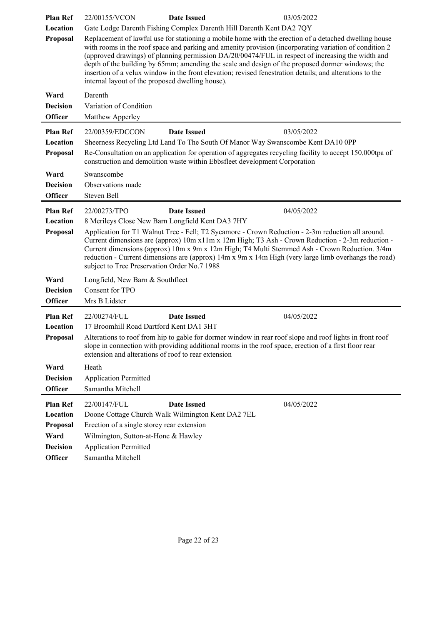| <b>Plan Ref</b>                                                                      | <b>Date Issued</b><br>22/00155/VCON                                                                                                                                                                                               | 03/05/2022                                                                                                                                                                                                                                                                                                                                                                                                                                                                                                                            |
|--------------------------------------------------------------------------------------|-----------------------------------------------------------------------------------------------------------------------------------------------------------------------------------------------------------------------------------|---------------------------------------------------------------------------------------------------------------------------------------------------------------------------------------------------------------------------------------------------------------------------------------------------------------------------------------------------------------------------------------------------------------------------------------------------------------------------------------------------------------------------------------|
| Location<br>Proposal                                                                 | Gate Lodge Darenth Fishing Complex Darenth Hill Darenth Kent DA2 7QY<br>internal layout of the proposed dwelling house).                                                                                                          | Replacement of lawful use for stationing a mobile home with the erection of a detached dwelling house<br>with rooms in the roof space and parking and amenity provision (incorporating variation of condition 2)<br>(approved drawings) of planning permission DA/20/00474/FUL in respect of increasing the width and<br>depth of the building by 65mm; amending the scale and design of the proposed dormer windows; the<br>insertion of a velux window in the front elevation; revised fenestration details; and alterations to the |
| Ward<br><b>Decision</b><br><b>Officer</b>                                            | Darenth<br>Variation of Condition<br>Matthew Apperley                                                                                                                                                                             |                                                                                                                                                                                                                                                                                                                                                                                                                                                                                                                                       |
| <b>Plan Ref</b><br>Location<br>Proposal                                              | 22/00359/EDCCON<br><b>Date Issued</b>                                                                                                                                                                                             | 03/05/2022<br>Sheerness Recycling Ltd Land To The South Of Manor Way Swanscombe Kent DA10 0PP<br>Re-Consultation on an application for operation of aggregates recycling facility to accept 150,000tpa of<br>construction and demolition waste within Ebbsfleet development Corporation                                                                                                                                                                                                                                               |
| Ward<br><b>Decision</b><br><b>Officer</b>                                            | Swanscombe<br>Observations made<br>Steven Bell                                                                                                                                                                                    |                                                                                                                                                                                                                                                                                                                                                                                                                                                                                                                                       |
| <b>Plan Ref</b><br>Location<br>Proposal                                              | 22/00273/TPO<br><b>Date Issued</b><br>8 Merileys Close New Barn Longfield Kent DA3 7HY<br>subject to Tree Preservation Order No.7 1988                                                                                            | 04/05/2022<br>Application for T1 Walnut Tree - Fell; T2 Sycamore - Crown Reduction - 2-3m reduction all around.<br>Current dimensions are (approx) 10m x11m x 12m High; T3 Ash - Crown Reduction - 2-3m reduction -<br>Current dimensions (approx) 10m x 9m x 12m High; T4 Multi Stemmed Ash - Crown Reduction. 3/4m<br>reduction - Current dimensions are (approx) 14m x 9m x 14m High (very large limb overhangs the road)                                                                                                          |
| Ward                                                                                 | Longfield, New Barn & Southfleet                                                                                                                                                                                                  |                                                                                                                                                                                                                                                                                                                                                                                                                                                                                                                                       |
| <b>Decision</b><br><b>Officer</b>                                                    | Consent for TPO<br>Mrs B Lidster                                                                                                                                                                                                  |                                                                                                                                                                                                                                                                                                                                                                                                                                                                                                                                       |
| <b>Plan Ref</b><br>Location<br>Proposal                                              | 22/00274/FUL<br><b>Date Issued</b><br>17 Broomhill Road Dartford Kent DA1 3HT<br>extension and alterations of roof to rear extension                                                                                              | 04/05/2022<br>Alterations to roof from hip to gable for dormer window in rear roof slope and roof lights in front roof<br>slope in connection with providing additional rooms in the roof space, erection of a first floor rear                                                                                                                                                                                                                                                                                                       |
| Ward<br><b>Decision</b><br><b>Officer</b>                                            | Heath<br><b>Application Permitted</b><br>Samantha Mitchell                                                                                                                                                                        |                                                                                                                                                                                                                                                                                                                                                                                                                                                                                                                                       |
| <b>Plan Ref</b><br>Location<br>Proposal<br>Ward<br><b>Decision</b><br><b>Officer</b> | 22/00147/FUL<br><b>Date Issued</b><br>Doone Cottage Church Walk Wilmington Kent DA2 7EL<br>Erection of a single storey rear extension<br>Wilmington, Sutton-at-Hone & Hawley<br><b>Application Permitted</b><br>Samantha Mitchell | 04/05/2022                                                                                                                                                                                                                                                                                                                                                                                                                                                                                                                            |